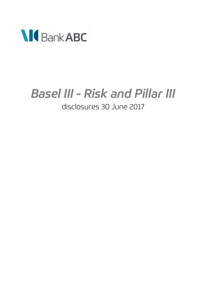

# *Basel III - Risk and Pillar III* disclosures 30 June 2017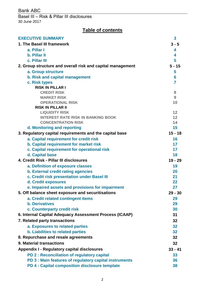Basel III – Risk & Pillar III disclosures 30 June 2017

# **Table of contents**

| <b>EXECUTIVE SUMMARY</b>                                                          | 3              |
|-----------------------------------------------------------------------------------|----------------|
| 1. The Basel III framework                                                        | $3 - 5$        |
| a. Pillar I                                                                       | 4              |
| b. Pillar II                                                                      | 4              |
| c. Pillar III                                                                     | 5              |
| 2. Group structure and overall risk and capital management                        | $5 - 15$       |
| a. Group structure                                                                | 5              |
| b. Risk and capital management                                                    | 6              |
| c. Risk types                                                                     | $\overline{7}$ |
| <b>RISK IN PILLAR I</b>                                                           |                |
| <b>CREDIT RISK</b>                                                                | 8              |
| <b>MARKET RISK</b>                                                                | 9              |
| <b>OPERATIONAL RISK</b>                                                           | 10             |
| <b>RISK IN PILLAR II</b>                                                          |                |
| <b>LIQUIDITY RISK</b><br><b>INTEREST RATE RISK IN BANKING BOOK</b>                | 12<br>12       |
| <b>CONCENTRATION RISK</b>                                                         | 14             |
| d. Monitoring and reporting                                                       | 15             |
| 3. Regulatory capital requirements and the capital base                           | $15 - 18$      |
|                                                                                   | 16             |
| a. Capital requirement for credit risk<br>b. Capital requirement for market risk  | 17             |
| c. Capital requirement for operational risk                                       | 17             |
| d. Capital base                                                                   | 18             |
| 4. Credit Risk - Pillar III disclosures                                           | $19 - 29$      |
|                                                                                   | 19             |
| a. Definition of exposure classes                                                 | 20             |
| b. External credit rating agencies<br>c. Credit risk presentation under Basel III | 21             |
| d. Credit exposures                                                               | 22             |
| e. Impaired assets and provisions for impairment                                  | 27             |
| 5. Off balance sheet exposure and securitisations                                 | $29 - 30$      |
| a. Credit related contingent items                                                | 29             |
| <b>b.</b> Derivatives                                                             | 29             |
| c. Counterparty credit risk                                                       | 30             |
| 6. Internal Capital Adequacy Assessment Process (ICAAP)                           | 31             |
|                                                                                   |                |
| 7. Related party transactions                                                     | 32             |
| a. Exposures to related parties                                                   | 32             |
| b. Liabilities to related parties                                                 | 32             |
| 8. Repurchase and resale agreements                                               | 32             |
| 9. Material transactions                                                          | 32             |
| <b>Appendix I - Regulatory capital disclosures</b>                                | $33 - 41$      |
| PD 2 : Reconciliation of regulatory capital                                       | 33             |
| PD 3 : Main features of regulatory capital instruments                            | 36             |
| PD 4 : Capital composition disclosure template                                    | 38             |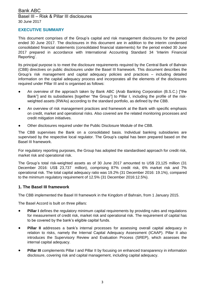### **EXECUTIVE SUMMARY**

This document comprises of the Group's capital and risk management disclosures for the period ended 30 June 2017. The disclosures in this document are in addition to the interim condensed consolidated financial statements (consolidated financial statements) for the period ended 30 June 2017 prepared in accordance with International Accounting Standard 34 'Interim Financial Reporting'.

Its principal purpose is to meet the disclosure requirements required by the Central Bank of Bahrain (CBB) directives on public disclosures under the Basel III framework. This document describes the Group's risk management and capital adequacy policies and practices – including detailed information on the capital adequacy process and incorporates all the elements of the disclosures required under Pillar III and is organised as follows:

- An overview of the approach taken by Bank ABC (Arab Banking Corporation (B.S.C.) ["the Bank"] and its subsidiaries [together "the Group"] to Pillar I, including the profile of the riskweighted assets (RWAs) according to the standard portfolio, as defined by the CBB.
- An overview of risk management practices and framework at the Bank with specific emphasis on credit, market and operational risks. Also covered are the related monitoring processes and credit mitigation initiatives.
- Other disclosures required under the Public Disclosure Module of the CBB.

The CBB supervises the Bank on a consolidated basis. Individual banking subsidiaries are supervised by the respective local regulator. The Group's capital has been prepared based on the Basel III framework.

For regulatory reporting purposes, the Group has adopted the standardised approach for credit risk, market risk and operational risk.

The Group's total risk-weighted assets as of 30 June 2017 amounted to US\$ 23,125 million (31 December 2016: US\$ 23,737 million), comprising 87% credit risk, 6% market risk and 7% operational risk. The total capital adequacy ratio was 19.2% (31 December 2016: 19.1%), compared to the minimum regulatory requirement of 12.5% (31 December 2016:12.5%).

### **1. The Basel III framework**

The CBB implemented the Basel III framework in the Kingdom of Bahrain, from 1 January 2015.

The Basel Accord is built on three pillars:

- **Pillar I** defines the regulatory minimum capital requirements by providing rules and regulations for measurement of credit risk, market risk and operational risk. The requirement of capital has to be covered by the bank's eligible capital funds.
- **Pillar II** addresses a bank's internal processes for assessing overall capital adequacy in relation to risks, namely the Internal Capital Adequacy Assessment (ICAAP). Pillar II also introduces the Supervisory Review and Evaluation Process (SREP), which assesses the internal capital adequacy.
- **Pillar III** complements Pillar I and Pillar II by focusing on enhanced transparency in information disclosure, covering risk and capital management, including capital adequacy.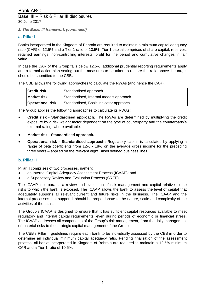### *1. The Basel III framework (continued)*

### **a. Pillar I**

Banks incorporated in the Kingdom of Bahrain are required to maintain a minimum capital adequacy ratio (CAR) of 12.5% and a Tier 1 ratio of 10.5%. Tier 1 capital comprises of share capital, reserves, retained earnings, non-controlling interests, profit for the period and cumulative changes in fair value.

In case the CAR of the Group falls below 12.5%, additional prudential reporting requirements apply and a formal action plan setting out the measures to be taken to restore the ratio above the target should be submitted to the CBB**.**

The CBB allows the following approaches to calculate the RWAs (and hence the CAR).

| <b>Credit risk</b>      | Standardised approach                  |
|-------------------------|----------------------------------------|
| <b>Market risk</b>      | Standardised, Internal models approach |
| <b>Operational risk</b> | Standardised, Basic indicator approach |

The Group applies the following approaches to calculate its RWAs:

- **Credit risk - Standardised approach:** The RWAs are determined by multiplying the credit exposure by a risk weight factor dependent on the type of counterparty and the counterparty's external rating, where available.
- **Market risk - Standardised approach.**
- **Operational risk - Standardised approach:** Regulatory capital is calculated by applying a range of beta coefficients from 12% - 18% on the average gross income for the preceding three years – applied on the relevant eight Basel defined business lines.

### **b. Pillar II**

Pillar II comprises of two processes, namely:

- an Internal Capital Adequacy Assessment Process (ICAAP); and
- a Supervisory Review and Evaluation Process (SREP).

The ICAAP incorporates a review and evaluation of risk management and capital relative to the risks to which the bank is exposed. The ICAAP allows the bank to assess the level of capital that adequately supports all relevant current and future risks in the business. The ICAAP and the internal processes that support it should be proportionate to the nature, scale and complexity of the activities of the bank.

The Group's ICAAP is designed to ensure that it has sufficient capital resources available to meet regulatory and internal capital requirements, even during periods of economic or financial stress. The ICAAP addresses all components of the Group's risk management, from the daily management of material risks to the strategic capital management of the Group.

The CBB's Pillar II guidelines require each bank to be individually assessed by the CBB in order to determine an individual minimum capital adequacy ratio. Pending finalisation of the assessment process, all banks incorporated in Kingdom of Bahrain are required to maintain a 12.5% minimum CAR and a Tier 1 ratio of 10.5%.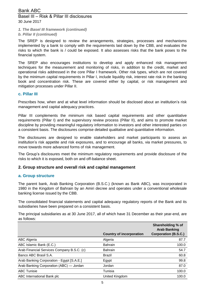*1. The Basel III framework (continued)*

### *b. Pillar II (continued)*

The SREP is designed to review the arrangements, strategies, processes and mechanisms implemented by a bank to comply with the requirements laid down by the CBB, and evaluates the risks to which the bank is / could be exposed. It also assesses risks that the bank poses to the financial system.

The SREP also encourages institutions to develop and apply enhanced risk management techniques for the measurement and monitoring of risks, in addition to the credit, market and operational risks addressed in the core Pillar I framework. Other risk types, which are not covered by the minimum capital requirements in Pillar I, include liquidity risk, interest rate risk in the banking book and concentration risk. These are covered either by capital, or risk management and mitigation processes under Pillar II.

### **c. Pillar III**

Prescribes how, when and at what level information should be disclosed about an institution's risk management and capital adequacy practices.

Pillar III complements the minimum risk based capital requirements and other quantitative requirements (Pillar I) and the supervisory review process (Pillar II), and aims to promote market discipline by providing meaningful regulatory information to investors and other interested parties on a consistent basis. The disclosures comprise detailed qualitative and quantitative information.

The disclosures are designed to enable stakeholders and market participants to assess an institution's risk appetite and risk exposures, and to encourage all banks, via market pressures, to move towards more advanced forms of risk management.

The Group's disclosures meet the minimum regulatory requirements and provide disclosure of the risks to which it is exposed, both on and off-balance sheet.

### **2. Group structure and overall risk and capital management**

### **a. Group structure**

The parent bank, Arab Banking Corporation (B.S.C.) (known as Bank ABC), was incorporated in 1980 in the Kingdom of Bahrain by an Amiri decree and operates under a conventional wholesale banking license issued by the CBB.

The consolidated financial statements and capital adequacy regulatory reports of the Bank and its subsidiaries have been prepared on a consistent basis.

The principal subsidiaries as at 30 June 2017, all of which have 31 December as their year-end, are as follows:

|                                            | <b>Country of incorporation</b> | Shareholding % of<br><b>Arab Banking</b><br><b>Corporation (B.S.C.)</b> |
|--------------------------------------------|---------------------------------|-------------------------------------------------------------------------|
| <b>ABC Algeria</b>                         | Algeria                         | 87.7                                                                    |
| ABC Islamic Bank (E.C.)                    | <b>Bahrain</b>                  | 100.0                                                                   |
| Arab Financial Services Company B.S.C. (c) | <b>Bahrain</b>                  | 54.7                                                                    |
| Banco ABC Brasil S.A.                      | Brazil                          | 60.8                                                                    |
| Arab Banking Corporation - Egypt [S.A.E.]  | Egypt                           | 99.8                                                                    |
| Arab Banking Corporation (ABC) — Jordan    | Jordan                          | 87.0                                                                    |
| <b>ABC Tunisie</b>                         | Tunisia                         | 100.0                                                                   |
| ABC International Bank plc                 | United Kingdom                  | 100.0                                                                   |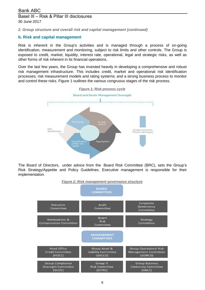*2. Group structure and overall risk and capital management (continued)*

### **b. Risk and capital management**

Risk is inherent in the Group's activities and is managed through a process of on-going identification, measurement and monitoring, subject to risk limits and other controls. The Group is exposed to credit, market, liquidity, interest rate, operational, legal and strategic risks, as well as other forms of risk inherent in its financial operations.

Over the last few years, the Group has invested heavily in developing a comprehensive and robust risk management infrastructure. This includes credit, market and operational risk identification processes; risk measurement models and rating systems; and a strong business process to monitor and control these risks. Figure 1 outlines the various congruous stages of the risk process.



The Board of Directors, under advice from the Board Risk Committee (BRC), sets the Group's Risk Strategy/Appetite and Policy Guidelines. Executive management is responsible for their implementation.



6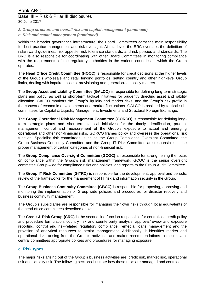### *2. Group structure and overall risk and capital management (continued)*

### *b. Risk and capital management (continued)*

Within the broader governance infrastructure, the Board Committees carry the main responsibility for best practice management and risk oversight. At this level, the BRC oversees the definition of risk/reward guidelines, risk appetite, risk tolerance standards, and risk policies and standards. The BRC is also responsible for coordinating with other Board Committees in monitoring compliance with the requirements of the regulatory authorities in the various countries in which the Group operates.

The **Head Office Credit Committee (HOCC)** is responsible for credit decisions at the higher levels of the Group's wholesale and retail lending portfolios, setting country and other high-level Group limits, dealing with impaired assets, provisioning and general credit policy matters.

The **Group Asset and Liability Committee (GALCO)** is responsible for defining long-term strategic plans and policy, as well as short-term tactical initiatives for prudently directing asset and liability allocation. GALCO monitors the Group's liquidity and market risks, and the Group's risk profile in the context of economic developments and market fluctuations. GALCO is assisted by tactical subcommittees for Capital & Liquidity Management, Investments and Structural Foreign Exchange.

The **Group Operational Risk Management Committee (GORCO)** is responsible for defining longterm strategic plans and short-term tactical initiatives for the timely identification, prudent management, control and measurement of the Group's exposure to actual and emerging operational and other non-financial risks. GORCO frames policy and oversees the operational risk function. Specialist risk committees, such as the Group Compliance Oversight Committee, the Group Business Continuity Committee and the Group IT Risk Committee are responsible for the proper management of certain categories of non-financial risk.

The **Group Compliance Oversight Committee (GCOC)** is responsible for strengthening the focus on compliance within the Group's risk management framework. GCOC is the senior oversight committee Group-wide for compliance risks and policies, and reports to the Group Audit Committee.

The **Group IT Risk Committee (GITRC) i**s responsible for the development, approval and periodic review of the frameworks for the management of IT risk and information security in the Group.

The **Group Business Continuity Committee (GBCC)** is responsible for proposing, approving and monitoring the implementation of Group-wide policies and procedures for disaster recovery and business continuity management.

The Group's subsidiaries are responsible for managing their own risks through local equivalents of the head office committees described above.

The **Credit & Risk Group (CRG)** is the second line function responsible for centralised credit policy and procedure formulation, country risk and counterparty analysis, approval/review and exposure reporting, control and risk-related regulatory compliance, remedial loans management and the provision of analytical resources to senior management. Additionally, it identifies market and operational risks arising from the Group's activities, and makes recommendations to the relevant central committees appropriate policies and procedures for managing exposure.

### **c. Risk types**

The major risks arising out of the Group's business activities are; credit risk, market risk, operational risk and liquidity risk. The following sections illustrate how these risks are managed and controlled.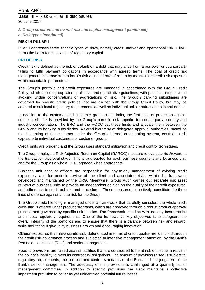- *2. Group structure and overall risk and capital management (continued)*
- *c. Risk types (continued)*

### **RISK IN PILLAR I**

Pillar I addresses three specific types of risks, namely credit, market and operational risk. Pillar I forms the basis for calculation of regulatory capital.

### **CREDIT RISK**

Credit risk is defined as the risk of default on a debt that may arise from a borrower or counterparty failing to fulfill payment obligations in accordance with agreed terms. The goal of credit risk management is to maximise a bank's risk-adjusted rate of return by maintaining credit risk exposure within acceptable parameters.

The Group's portfolio and credit exposures are managed in accordance with the Group Credit Policy, which applies group-wide qualitative and quantitative guidelines, with particular emphasis on avoiding undue concentrations or aggregations of risk. The Group's banking subsidiaries are governed by specific credit policies that are aligned with the Group Credit Policy, but may be adapted to suit local regulatory requirements as well as individual units' product and sectoral needs.

In addition to the customer and customer group credit limits, the first level of protection against undue credit risk is provided by the Group's portfolio risk appetite for counterparty, country and industry concentration. The BRC and the HOCC set these limits and allocate them between the Group and its banking subsidiaries. A tiered hierarchy of delegated approval authorities, based on the risk rating of the customer under the Group's internal credit rating system, controls credit exposure to individual customers or customer groups.

Credit limits are prudent, and the Group uses standard mitigation and credit control techniques.

The Group employs a Risk-Adjusted Return on Capital (RAROC) measure to evaluate risk/reward at the transaction approval stage. This is aggregated for each business segment and business unit, and for the Group as a whole. It is upgraded when appropriate.

Business unit account officers are responsible for day-to-day management of existing credit exposures, and for periodic review of the client and associated risks, within the framework developed and maintained by the CRG. Meanwhile, Group Audit carries out separate risk asset reviews of business units to provide an independent opinion on the quality of their credit exposures, and adherence to credit policies and procedures. These measures, collectively, constitute the three lines of defence against undue risk for the Group.

The Group's retail lending is managed under a framework that carefully considers the whole credit cycle and is offered under product programs, which are approved through a robust product approval process and governed by specific risk policies. The framework is in line with industry best practice and meets regulatory requirements. One of the framework's key objectives is to safeguard the overall integrity of the portfolios and to ensure that there is a balance between risk and reward, while facilitating high-quality business growth and encouraging innovation.

Obligor exposures that have significantly deteriorated in terms of credit quality are identified through the credit risk governance process and subjected to intensive management attention by the Bank's Remedial Loans Unit (RLU) and senior management.

Specific provisions are raised against facilities that are considered to be at risk of loss as a result of the obligor's inability to meet its contractual obligations. The amount of provision raised is subject to; regulatory requirements, the policies and control standards of the Bank and the judgment of the Bank's senior management. The adequacy of the provisions is challenged at a quarterly senior management committee. In addition to specific provisions the Bank maintains a collective impairment provision to cover as yet unidentified potential future losses.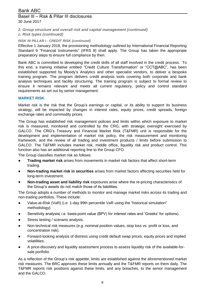# Basel III – Risk & Pillar III disclosures 30 June 2017

- *2. Group structure and overall risk and capital management (continued)*
- *c. Risk types (continued)*

### *RISK IN PILLAR I - CREDIT RISK (continued)*

Effective 1 January 2018, the provisioning methodology outlined by International Financial Reporting Standard 9 "Financial Instruments" (IFRS 9) shall apply. The Group has taken the appropriate preparatory steps to ensure full compliance by then.

Bank ABC is committed to developing the credit skills of all staff involved in the credit process. To this end, a training initiative entitled "Credit Culture Transformation" or "CCT@ABC", has been established supported by Moody's Analytics and other specialist vendors, to deliver a bespoke training program. The program delivers credit analysis tools covering both corporate and bank analysis techniques and facility structuring. The training program is subject to formal review to ensure it remains relevant and meets all current regulatory, policy and control standard requirements as set out by senior management.

### **MARKET RISK**

Market risk is the risk that the Group's earnings or capital, or its ability to support its business strategy, will be impacted by changes in interest rates, equity prices, credit spreads, foreign exchange rates and commodity prices.

The Group has established risk management policies and limits within which exposure to market risk is measured, monitored and controlled by the CRG, with strategic oversight exercised by GALCO. The CRG's Treasury and Financial Market Risk (T&FMR) unit is responsible for the development and implementation of market risk policy, the risk measurement and monitoring framework, and the review of all trading and investment products / limits before submission to GALCO. The T&FMR includes market risk, middle office, liquidity risk and product control. This function also has an additional reporting line to the Group CFO.

The Group classifies market risk as follows:

- **Trading market risk** arises from movements in market risk factors that affect short-term trading.
- **Non-trading market risk in securities** arises from market factors affecting securities held for long-term investment.
- **Non-trading asset and liability risk** exposures arise where the re-pricing characteristics of the Group's assets do not match those of its liabilities.

The Group adopts a number of methods to monitor and manage market risks across its trading and non-trading portfolios. These include:

- Value-at-Risk (VaR) (i.e. 1-day 99th percentile VaR using the "historical simulation" methodology).
- Sensitivity analysis( i.e. basis-point value (BPV) for interest rates and 'Greeks' for options).
- Stress testing / scenario analysis.
- Non-technical risk measures (e.g. nominal position values, stop loss vs. profit or loss, and concentration risk).
- Forward-looking analysis of distress using credit default swap prices, equity prices and implied volatilities.
- A price-discovery and liquidity assessment process to assess liquidity risk of the available-forsale portfolio.

As a reflection of the Group's risk appetite, limits are established against the aforementioned market risk measures. The BRC approves these limits annually and the T&FMR reports on them daily. The T&FMR reports risk positions against these limits, and any breaches, to the senior management and the GALCO.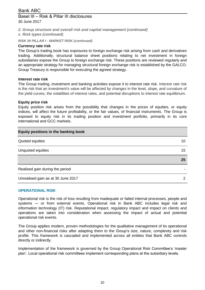# Basel III – Risk & Pillar III disclosures 30 June 2017

- *2. Group structure and overall risk and capital management (continued)*
- *c. Risk types (continued)*

# *RISK IN PILLAR I - MARKET RISK (continued)*

# **Currency rate risk**

The Group's trading book has exposures to foreign exchange risk arising from cash and derivatives trading. Additionally, structural balance sheet positions relating to net investment in foreign subsidiaries expose the Group to foreign exchange risk. These positions are reviewed regularly and an appropriate strategy for managing structural foreign exchange risk is established by the GALCO. Group Treasury is responsible for executing the agreed strategy.

### **Interest rate risk**

The Group trading, investment and banking activities expose it to interest rate risk. Interest rate risk is the risk that an investment's value will be affected by changes in the level, slope, and curvature of the yield curves, the volatilities of interest rates, and potential disruptions to interest rate equilibrium.

### **Equity price risk**

Equity position risk arises from the possibility that changes in the prices of equities, or equity indices, will affect the future profitability, or the fair values, of financial instruments. The Group is exposed to equity risk in its trading position and investment portfolio, primarily in its core international and GCC markets.

| Equity positions in the banking book |    |
|--------------------------------------|----|
| Quoted equities                      | 10 |
| Unquoted equities                    | 15 |
|                                      |    |
|                                      | 25 |
| Realised gain during the period      |    |

### **OPERATIONAL RISK**

Operational risk is the risk of loss resulting from inadequate or failed internal processes, people and systems — or from external events. Operational risk in Bank ABC includes legal risk and information technology (IT) risk. Reputational impact, regulatory impact and impact on clients and operations are taken into consideration when assessing the impact of actual and potential operational risk events.

The Group applies modern, proven methodologies for the qualitative management of its operational and other non-financial risks after adapting them to the Group's size, nature, complexity and risk profile. This framework is cascaded and implemented across all entities that Bank ABC controls directly or indirectly.

Implementation of the framework is governed by the Group Operational Risk Committee's 'master plan'. Local operational risk committees implement corresponding plans at the subsidiary levels.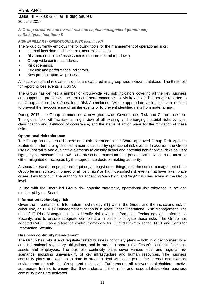# Basel III – Risk & Pillar III disclosures

- 30 June 2017
- *2. Group structure and overall risk and capital management (continued)*
- *c. Risk types (continued)*

# *RISK IN PILLAR I - OPERATIONAL RISK (continued)*

The Group currently employs the following tools for the management of operational risks:

- Internal loss data and incidents, near miss events.
- Risk and control self-assessments (bottom-up and top-down).
- Group-wide control standards.
- Risk scenarios.
- Key risk and performance indicators.
- New product approval process.

All loss events and relevant incidents are captured in a group-wide incident database. The threshold for reporting loss events is US\$ 50.

The Group has defined a number of group-wide key risk indicators covering all the key business and supporting processes. Incidents and performance vis- a- vis key risk indicators are reported to the Group and unit level Operational Risk Committees. Where appropriate, action plans are defined to prevent the re-occurrence of similar events or to prevent identified risks from materialising.

During 2017, the Group commenced a new group-wide Governance, Risk and Compliance tool. This global tool will facilitate a single view of all existing and emerging material risks by type, classification and likelihood of occurrence, and the status of action plans for the mitigation of these risks.

# **Operational risk tolerance**

The Group has expressed operational risk tolerance in the Board approved Group Risk Appetite Statement in terms of gross loss amounts caused by operational risk events. In addition, the Group uses quantitative and qualitative elements to classify actual and potential non-financial risks as 'very high', 'high', 'medium' and 'low', and prescribes maximum time periods within which risks must be either mitigated or accepted by the appropriate decision making authority.

A separate escalation procedure requires, amongst other things, that the senior management of the Group be immediately informed of all 'very high' or 'high' classified risk events that have taken place or are likely to occur. The authority for accepting 'very high' and 'high' risks lies solely at the Group level.

In line with the Board-led Group risk appetite statement, operational risk tolerance is set and monitored by the Board.

# **Information technology risk**

Given the importance of Information Technology (IT) within the Group and the increasing risk of cyber risk, an IT Risk Management function is in place under Operational Risk Management. The role of IT Risk Management is to identify risks within Information Technology and Information Security, and to ensure adequate controls are in place to mitigate these risks. The Group has adopted CoBIT 5 as a reference control framework for IT, and ISO 27k series, NIST and SanS for Information Security.

# **Business continuity management**

The Group has robust and regularly tested business continuity plans – both in order to meet local and international regulatory obligations, and in order to protect the Group's business functions, assets and employees. The business continuity plans cover various local and regional risk scenarios, including unavailability of key infrastructure and human resources. The business continuity plans are kept up to date in order to deal with changes in the internal and external environment at both the Group and unit level. Furthermore, all relevant stakeholders receive appropriate training to ensure that they understand their roles and responsibilities when business continuity plans are activated.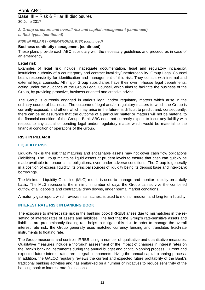# Basel III – Risk & Pillar III disclosures 30 June 2017

*2. Group structure and overall risk and capital management (continued)*

*c. Risk types (continued)*

# *RISK IN PILLAR I - OPERATIONAL RISK (continued)*

# **Business continuity management (continued)**

These plans provide each ABC subsidiary with the necessary guidelines and procedures in case of an emergency.

### **Legal risk**

Examples of legal risk include inadequate documentation, legal and regulatory incapacity, insufficient authority of a counterparty and contract invalidity/unenforceability. Group Legal Counsel bears responsibility for identification and management of this risk. They consult with internal and external legal counsels. All major Group subsidiaries have their own in-house legal departments, acting under the guidance of the Group Legal Counsel, which aims to facilitate the business of the Group, by providing proactive, business-oriented and creative advice.

The Group is currently engaged in various legal and/or regulatory matters which arise in the ordinary course of business. The outcome of legal and/or regulatory matters to which the Group is currently exposed, and others which may arise in the future, is difficult to predict and, consequently, there can be no assurance that the outcome of a particular matter or matters will not be material to the financial condition of the Group. Bank ABC does not currently expect to incur any liability with respect to any actual or pending legal and/or regulatory matter which would be material to the financial condition or operations of the Group.

### **RISK IN PILLAR II**

### **LIQUIDITY RISK**

Liquidity risk is the risk that maturing and encashable assets may not cover cash flow obligations (liabilities). The Group maintains liquid assets at prudent levels to ensure that cash can quickly be made available to honour all its obligations, even under adverse conditions. The Group is generally in a position of excess liquidity, its principal sources of liquidity being its deposit base and inter-bank borrowings.

The Minimum Liquidity Guideline (MLG) metric is used to manage and monitor liquidity on a daily basis. The MLG represents the minimum number of days the Group can survive the combined outflow of all deposits and contractual draw downs, under normal market conditions.

A maturity gap report, which reviews mismatches, is used to monitor medium and long term liquidity.

### **INTEREST RATE RISK IN BANKING BOOK**

The exposure to interest rate risk in the banking book (IRRBB) arises due to mismatches in the resetting of interest rates of assets and liabilities. The fact that the Group's rate-sensitive assets and liabilities are predominantly floating rate helps to mitigate this risk. In order to manage the overall interest rate risk, the Group generally uses matched currency funding and translates fixed-rate instruments to floating rate.

The Group measures and controls IRRBB using a number of qualitative and quantitative measures. Qualitative measures include a thorough assessment of the impact of changes in interest rates on the Bank's banking instruments during the annual budget and capital planning process. Current and expected future interest rates are integral components driving the annual capital planning process. In addition, the GALCO regularly reviews the current and expected future profitability of the Bank's traditional banking activities and has embarked on a number of initiatives to reduce sensitivity of the banking book to interest rate fluctuations.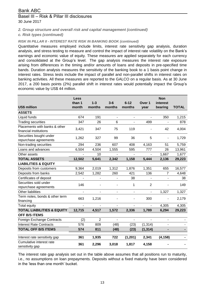# Basel III – Risk & Pillar III disclosures 30 June 2017

*2. Group structure and overall risk and capital management (continued)*

*c. Risk types (continued)*

# *RISK IN PILLAR II - INTEREST RATE RISK IN BANKING BOOK (continued)*

Quantitative measures employed include limits, interest rate sensitivity gap analysis, duration analysis, and stress testing to measure and control the impact of interest rate volatility on the Bank's earnings and economic value of equity. These measures are applied separately for each currency and consolidated at the Group's level. The gap analysis measures the interest rate exposure arising from differences in the timing and/or amounts of loans and deposits in pre-specified time bands. Duration analysis measures the sensitivity of the banking book to a 1 basis point change in interest rates. Stress tests include the impact of parallel and non-parallel shifts in interest rates on banking activities. All these measures are reported to the GALCO on a regular basis. As at 30 June 2017, a 200 basis points (2%) parallel shift in interest rates would potentially impact the Group's economic value by US\$ 44 million.

|                                                         | <b>Less</b>    |                |                          |                          |                   | <b>Non</b> |              |
|---------------------------------------------------------|----------------|----------------|--------------------------|--------------------------|-------------------|------------|--------------|
|                                                         | than 1         | $1 - 3$        | $3-6$                    | $6 - 12$                 | Over <sub>1</sub> | interest   |              |
| <b>US\$ million</b>                                     | month          | months         | months                   | months                   | year              | bearing    | <b>TOTAL</b> |
| <b>ASSETS</b>                                           |                |                |                          |                          |                   |            |              |
| Liquid funds                                            | 674            | 191            | $\blacksquare$           | $\overline{\phantom{a}}$ |                   | 350        | 1,215        |
| <b>Trading securities</b>                               | 347            | 26             | 6                        | $\blacksquare$           | 499               | ÷,         | 878          |
| Placements with banks & other<br>financial institutions | 3,421          | 347            | 75                       | 119                      |                   | 42         | 4,004        |
| Securities bought under<br>repurchase agreements        | 1,262          | 327            | 99                       | 36                       | 5                 |            | 1,729        |
| Non-trading securities                                  | 294            | 236            | 607                      | 408                      | 4,163             | 51         | 5,759        |
| Loans and advances                                      | 6,504          | 4,504          | 1,555                    | 595                      | 777               | 26         | 13,961       |
| Other assets                                            |                | 10             |                          |                          |                   | 1,667      | 1,677        |
| <b>TOTAL ASSETS</b>                                     | 12,502         | 5,641          | 2,342                    | 1,158                    | 5,444             | 2,136      | 29,223       |
| <b>LIABILITIES &amp; EQUITY</b>                         |                |                |                          |                          |                   |            |              |
| Deposits from customers                                 | 9,364          | 2,019          | 1,312                    | 1,876                    | 1,351             | 655        | 16,577       |
| Deposits from banks                                     | 2,542          | 1,282          | 260                      | 421                      | 136               | 7          | 4,648        |
| Certificates of deposit                                 |                |                |                          | 38                       |                   |            | 38           |
| Securities sold under                                   | 146            |                |                          | 1                        | $\overline{2}$    |            | 149          |
| repurchase agreements                                   |                |                |                          |                          |                   |            |              |
| Other liabilities                                       | $\blacksquare$ | $\blacksquare$ | $\overline{\phantom{a}}$ | $\overline{\phantom{a}}$ | $\blacksquare$    | 1,327      | 1,327        |
| Term notes, bonds & other term<br>financing             | 663            | 1,216          |                          |                          | 300               |            | 2,179        |
| Total equity                                            |                |                |                          |                          |                   | 4,305      | 4,305        |
| <b>TOTAL LIABILITIES &amp; EQUITY</b>                   | 12,715         | 4,517          | 1,572                    | 2,336                    | 1,789             | 6,294      | 29,223       |
| <b>OFF B/S ITEMS</b>                                    |                |                |                          |                          |                   |            |              |
| Foreign Exchange Contracts                              | (2)            | $\overline{2}$ |                          | $\overline{a}$           |                   |            |              |
| <b>Interest Rate Contracts</b>                          | 576            | 809            | (48)                     | (23)                     | (1, 314)          |            |              |
| <b>TOTAL OFF B/S ITEMS</b>                              | 574            | 811            | (48)                     | (23)                     | (1, 314)          |            |              |
| Interest rate sensitivity gap                           | 361            | 1,935          | 722                      | (1, 201)                 | 2,341             | (4, 158)   |              |
| Cumulative interest rate<br>sensitivity gap             | 361            | 2,296          | 3,018                    | 1,817                    | 4,158             |            |              |

The interest rate gap analysis set out in the table above assumes that all positions run to maturity, i.e., no assumptions on loan prepayments. Deposits without a fixed maturity have been considered in the 'less than one month' bucket.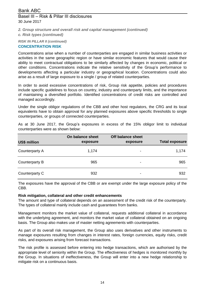*2. Group structure and overall risk and capital management (continued)*

*c. Risk types (continued)*

*RISK IN PILLAR II (continued)*

### **CONCENTRATION RISK**

Concentrations arise when a number of counterparties are engaged in similar business activities or activities in the same geographic region or have similar economic features that would cause their ability to meet contractual obligations to be similarly affected by changes in economic, political or other conditions. Concentrations indicate the relative sensitivity of the Group's performance to developments affecting a particular industry or geographical location. Concentrations could also arise as a result of large exposure to a single / group of related counterparties.

In order to avoid excessive concentrations of risk, Group risk appetite, policies and procedures include specific guidelines to focus on country, industry and counterparty limits, and the importance of maintaining a diversified portfolio. Identified concentrations of credit risks are controlled and managed accordingly.

Under the single obligor regulations of the CBB and other host regulators, the CRG and its local equivalents have to obtain approval for any planned exposures above specific thresholds to single counterparties, or groups of connected counterparties.

| <b>US\$ million</b> | On balance sheet<br>exposure | Off balance sheet<br>exposure | <b>Total exposure</b> |
|---------------------|------------------------------|-------------------------------|-----------------------|
| Counterparty A      | 1,174                        | ۰                             | 1,174                 |
| Counterparty B      | 965                          | ۰                             | 965                   |
| Counterparty C      | 932                          | $\,$                          | 932                   |

As at 30 June 2017, the Group's exposures in excess of the 15% obligor limit to individual counterparties were as shown below:

The exposures have the approval of the CBB or are exempt under the large exposure policy of the CBB.

### **Risk mitigation, collateral and other credit enhancements**

The amount and type of collateral depends on an assessment of the credit risk of the counterparty. The types of collateral mainly include cash and guarantees from banks.

Management monitors the market value of collateral, requests additional collateral in accordance with the underlying agreement, and monitors the market value of collateral obtained on an ongoing basis. The Group also makes use of master netting agreements with counterparties.

As part of its overall risk management, the Group also uses derivatives and other instruments to manage exposures resulting from changes in interest rates, foreign currencies, equity risks, credit risks, and exposures arising from forecast transactions.

The risk profile is assessed before entering into hedge transactions, which are authorised by the appropriate level of seniority within the Group. The effectiveness of hedges is monitored monthly by the Group. In situations of ineffectiveness, the Group will enter into a new hedge relationship to mitigate risk on a continuous basis.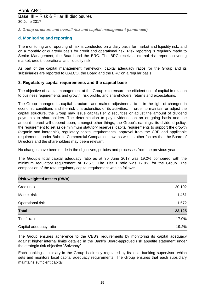*2. Group structure and overall risk and capital management (continued)*

### **d. Monitoring and reporting**

The monitoring and reporting of risk is conducted on a daily basis for market and liquidity risk, and on a monthly or quarterly basis for credit and operational risk. Risk reporting is regularly made to Senior Management, the Board and the BRC. The BRC receives internal risk reports covering market, credit, operational and liquidity risk.

. As part of the capital management framework, capital adequacy ratios for the Group and its subsidiaries are reported to GALCO, the Board and the BRC on a regular basis.

### **3. Regulatory capital requirements and the capital base**

The objective of capital management at the Group is to ensure the efficient use of capital in relation to business requirements and growth, risk profile, and shareholders' returns and expectations.

The Group manages its capital structure, and makes adjustments to it, in the light of changes in economic conditions and the risk characteristics of its activities. In order to maintain or adjust the capital structure, the Group may issue capital/Tier 2 securities or adjust the amount of dividend payments to shareholders. The determination to pay dividends on an on-going basis and the amount thereof will depend upon, amongst other things, the Group's earnings, its dividend policy, the requirement to set aside minimum statutory reserves, capital requirements to support the growth (organic and inorganic), regulatory capital requirements, approval from the CBB and applicable requirements under Bahrain Commercial Companies Law, as well as other factors that the Board of Directors and the shareholders may deem relevant.

No changes have been made in the objectives, policies and processes from the previous year.

The Group's total capital adequacy ratio as at 30 June 2017 was 19.2% compared with the minimum regulatory requirement of 12.5%. The Tier 1 ratio was 17.9% for the Group. The composition of the total regulatory capital requirement was as follows:

| <b>Risk-weighted assets (RWA)</b> |        |
|-----------------------------------|--------|
| Credit risk                       | 20,102 |
| Market risk                       | 1,451  |
| Operational risk                  | 1,572  |
| <b>Total</b>                      | 23,125 |
| Tier 1 ratio                      | 17.9%  |
| Capital adequacy ratio            | 19.2%  |

The Group ensures adherence to the CBB's requirements by monitoring its capital adequacy against higher internal limits detailed in the Bank's Board-approved risk appetite statement under the strategic risk objective "Solvency".

Each banking subsidiary in the Group is directly regulated by its local banking supervisor, which sets and monitors local capital adequacy requirements. The Group ensures that each subsidiary maintains sufficient capital.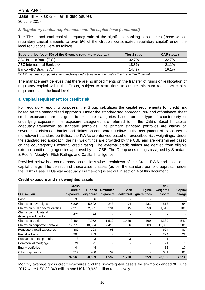### *3. Regulatory capital requirements and the capital base (continued)*

The Tier 1 and total capital adequacy ratio of the significant banking subsidiaries (those whose regulatory capital amounts to over 5% of the Group's consolidated regulatory capital) under the local regulations were as follows:

| Subsidiaries (over 5% of the Group's regulatory capital) | Tier 1 ratio | CAR (total) |
|----------------------------------------------------------|--------------|-------------|
| ABC Islamic Bank (E.C.)                                  | 32.7%        | 32.7%       |
| ABC International Bank plc*                              | 18.8%        | 21.1%       |
| Banco ABC Brasil S.A.*                                   | $14.4\%$     | 16.1%       |

*\* CAR has been computed after mandatory deductions from the total of Tier 1 and Tier 2 capital*

The management believes that there are no impediments on the transfer of funds or reallocation of regulatory capital within the Group, subject to restrictions to ensure minimum regulatory capital requirements at the local level.

### **a. Capital requirement for credit risk**

For regulatory reporting purposes, the Group calculates the capital requirements for credit risk based on the standardised approach. Under the standardised approach, on- and off-balance sheet credit exposures are assigned to exposure categories based on the type of counterparty or underlying exposure. The exposure categories are referred to in the CBB's Basel III capital adequacy framework as standard portfolios. The primary standard portfolios are claims on sovereigns, claims on banks and claims on corporates. Following the assignment of exposures to the relevant standard portfolios, the RWAs are derived based on prescribed risk weightings. Under the standardised approach, the risk weightings are provided by the CBB and are determined based on the counterparty's external credit rating. The external credit ratings are derived from eligible external credit rating agencies approved by the CBB. The Group uses ratings assigned by Standard & Poor's, Moody's, Fitch Ratings and Capital Intelligence.

Provided below is a counterparty asset class-wise breakdown of the Credit RWA and associated capital charge. The definition of these asset classes (as per the standard portfolio approach under the CBB's Basel III Capital Adequacy Framework) is set out in section 4 of this document.

|                                  | <b>Gross</b> |               |                 |            |                 | Risk-    |         |
|----------------------------------|--------------|---------------|-----------------|------------|-----------------|----------|---------|
|                                  | credit       | <b>Funded</b> | <b>Unfunded</b> | Cash       | <b>Eligible</b> | weighted | Capital |
| US\$ million                     | exposure     | exposure      | exposure        | collateral | guarantees      | assets   | charge  |
| Cash                             | 36           | 36            |                 |            |                 | 2        |         |
| Claims on sovereigns             | 5,835        | 5,592         | 243             | 94         | 231             | 513      | 64      |
| Claims on public sector entities | 2,315        | 2,081         | 234             | 45         | 50              | 1,512    | 189     |
| Claims on multilateral           | 474          | 474           |                 |            |                 |          |         |
| development banks                |              |               |                 |            |                 |          |         |
| Claims on banks                  | 9,464        | 7,952         | 1,512           | 1,429      | 469             | 4,339    | 542     |
| Claims on corporate portfolio    | 12,770       | 10,354        | 2,416           | 196        | 209             | 12,063   | 1,508   |
| Regulatory retail exposures      | 886          | 793           | 93              |            | ۰               | 664      | 83      |
| Past due loans                   | 203          | 203           | -               |            | ٠               | 224      | 28      |
| Residential retail portfolio     | 3            | 3             |                 | 3          | ۰               | 1        |         |
| Commercial mortgage              | 21           | 21            |                 |            | ۰               | 21       | 3       |
| Equity portfolios                | 44           | 44            |                 |            | -               | 82       | 10      |
| Other exposures                  | 514          | 480           | 34              |            | ۰               | 681      | 85      |
|                                  | 32,565       | 28,033        | 4,532           | 1,768      | 959             | 20,102   | 2,512   |

### **Credit exposure and risk weighted assets**

Monthly average gross credit exposures and the risk-weighted assets for six-month ended 30 June 2017 were US\$ 33,343 million and US\$ 19,922 million respectively.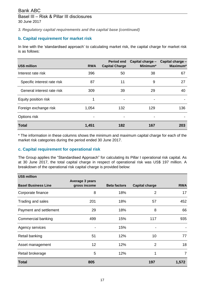*3. Regulatory capital requirements and the capital base (continued)*

# **b. Capital requirement for market risk**

In line with the 'standardised approach' to calculating market risk, the capital charge for market risk is as follows:

| <b>US\$ million</b>         | <b>RWA</b> | <b>Period end</b><br><b>Capital Charge</b> | Capital charge -<br>Minimum* | Capital charge -<br>Maximum* |
|-----------------------------|------------|--------------------------------------------|------------------------------|------------------------------|
| Interest rate risk          | 396        | 50                                         | 38                           | 67                           |
| Specific interest rate risk | 87         | 11                                         | 9                            | 27                           |
| General interest rate risk  | 309        | 39                                         | 29                           | 40                           |
| Equity position risk        |            | -                                          | -                            |                              |
| Foreign exchange risk       | 1,054      | 132                                        | 129                          | 136                          |
| Options risk                |            |                                            |                              |                              |
| <b>Total</b>                | 1,451      | 182                                        | 167                          | 203                          |

\* The information in these columns shows the minimum and maximum capital charge for each of the market risk categories during the period ended 30 June 2017.

### **c. Capital requirement for operational risk**

The Group applies the "Standardised Approach" for calculating its Pillar I operational risk capital. As at 30 June 2017, the total capital charge in respect of operational risk was US\$ 197 million. A breakdown of the operational risk capital charge is provided below:

| <b>US\$ million</b>        |                                 |                     |                       |                |
|----------------------------|---------------------------------|---------------------|-----------------------|----------------|
| <b>Basel Business Line</b> | Average 3 years<br>gross income | <b>Beta factors</b> | <b>Capital charge</b> | <b>RWA</b>     |
| Corporate finance          | 8                               | 18%                 | $\overline{2}$        | 17             |
| Trading and sales          | 201                             | 18%                 | 57                    | 452            |
| Payment and settlement     | 29                              | 18%                 | 8                     | 66             |
| Commercial banking         | 499                             | 15%                 | 117                   | 935            |
| Agency services            |                                 | 15%                 |                       |                |
| Retail banking             | 51                              | 12%                 | 10                    | 77             |
| Asset management           | 12                              | 12%                 | $\overline{2}$        | 18             |
| Retail brokerage           | 5                               | 12%                 | 1                     | $\overline{7}$ |
| <b>Total</b>               | 805                             |                     | 197                   | 1,572          |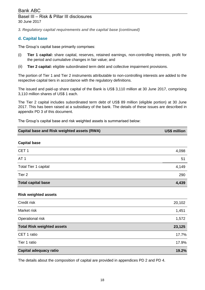# Basel III – Risk & Pillar III disclosures 30 June 2017

*3. Regulatory capital requirements and the capital base (continued)*

# **d. Capital base**

The Group's capital base primarily comprises:

- (i) **Tier 1 capital:** share capital, reserves, retained earnings, non-controlling interests, profit for the period and cumulative changes in fair value; and
- (ii) **Tier 2 capital:** eligible subordinated term debt and collective impairment provisions.

The portion of Tier 1 and Tier 2 instruments attributable to non-controlling interests are added to the respective capital tiers in accordance with the regulatory definitions.

The issued and paid-up share capital of the Bank is US\$ 3,110 million at 30 June 2017, comprising 3,110 million shares of US\$ 1 each.

The Tier 2 capital includes subordinated term debt of US\$ 89 million (eligible portion) at 30 June 2017. This has been raised at a subsidiary of the bank. The details of these issues are described in appendix PD 3 of this document.

The Group's capital base and risk weighted assets is summarised below:

| Capital base and Risk weighted assets (RWA) | US\$ million |
|---------------------------------------------|--------------|
|---------------------------------------------|--------------|

### **Capital base**

| <b>Total capital base</b> | 4,439 |
|---------------------------|-------|
| Tier <sub>2</sub>         | 290   |
| Total Tier 1 capital      | 4,149 |
| AT <sub>1</sub>           | 51    |
| CET <sub>1</sub>          | 4,098 |
|                           |       |

### **Risk weighted assets**

| Credit risk                       | 20,102 |
|-----------------------------------|--------|
| Market risk                       | 1,451  |
| Operational risk                  | 1,572  |
| <b>Total Risk weighted assets</b> | 23,125 |
| CET 1 ratio                       | 17.7%  |
| Tier 1 ratio                      | 17.9%  |
| Capital adequacy ratio            | 19.2%  |

The details about the composition of capital are provided in appendices PD 2 and PD 4.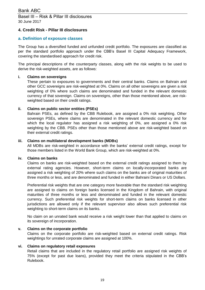## **4. Credit Risk - Pillar III disclosures**

## **a. Definition of exposure classes**

The Group has a diversified funded and unfunded credit portfolio. The exposures are classified as per the standard portfolio approach under the CBB's Basel III Capital Adequacy Framework, covering the standardised approach for credit risk.

The principal descriptions of the counterparty classes, along with the risk weights to be used to derive the risk-weighted assets, are as follows:

### **i. Claims on sovereigns**

These pertain to exposures to governments and their central banks. Claims on Bahrain and other GCC sovereigns are risk-weighted at 0%. Claims on all other sovereigns are given a risk weighting of 0% where such claims are denominated and funded in the relevant domestic currency of that sovereign. Claims on sovereigns, other than those mentioned above, are riskweighted based on their credit ratings.

### **ii. Claims on public sector entities (PSEs)**

Bahrain PSEs, as defined by the CBB Rulebook, are assigned a 0% risk weighting. Other sovereign PSEs, where claims are denominated in the relevant domestic currency and for which the local regulator has assigned a risk weighting of 0%, are assigned a 0% risk weighting by the CBB. PSEs other than those mentioned above are risk-weighted based on their external credit ratings.

### **iii. Claims on multilateral development banks (MDBs)**

All MDBs are risk-weighted in accordance with the banks' external credit ratings, except for those members listed in the World Bank Group, which are risk-weighted at 0%.

### **iv. Claims on banks**

Claims on banks are risk-weighted based on the external credit ratings assigned to them by external rating agencies. However, short-term claims on locally-incorporated banks are assigned a risk weighting of 20% where such claims on the banks are of original maturities of three months or less, and are denominated and funded in either Bahraini Dinars or US Dollars.

Preferential risk weights that are one category more favorable than the standard risk weighting are assigned to claims on foreign banks licensed in the Kingdom of Bahrain, with original maturities of three months or less and denominated and funded in the relevant domestic currency. Such preferential risk weights for short-term claims on banks licensed in other jurisdictions are allowed only if the relevant supervisor also allows such preferential risk weighting to short-term claims on its banks.

No claim on an unrated bank would receive a risk weight lower than that applied to claims on its sovereign of incorporation.

### **v. Claims on the corporate portfolio**

Claims on the corporate portfolio are risk-weighted based on external credit ratings. Risk weightings for unrated corporate claims are assigned at 100%.

### **vi. Claims on regulatory retail exposures**

Retail claims that are included in the regulatory retail portfolio are assigned risk weights of 75% (except for past due loans), provided they meet the criteria stipulated in the CBB's Rulebook.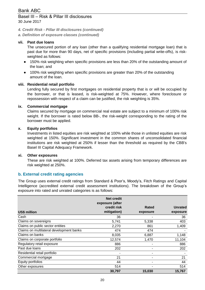# Basel III – Risk & Pillar III disclosures 30 June 2017

*4. Credit Risk - Pillar III disclosures (continued)*

*a. Definition of exposure classes (continued)*

# **vii. Past due loans**

The unsecured portion of any loan (other than a qualifying residential mortgage loan) that is past due for more than 90 days, net of specific provisions (including partial write-offs), is riskweighted as follows:

- 150% risk weighting when specific provisions are less than 20% of the outstanding amount of the loan; and
- 100% risk weighting when specific provisions are greater than 20% of the outstanding amount of the loan.

### **viii. Residential retail portfolio**

Lending fully secured by first mortgages on residential property that is or will be occupied by the borrower, or that is leased, is risk-weighted at 75%. However, where foreclosure or repossession with respect of a claim can be justified, the risk weighting is 35%.

#### **ix. Commercial mortgage**

Claims secured by mortgage on commercial real estate are subject to a minimum of 100% risk weight. If the borrower is rated below BB-, the risk-weight corresponding to the rating of the borrower must be applied.

#### **x. Equity portfolios**

Investments in listed equities are risk weighted at 100% while those in unlisted equities are risk weighted at 150%. Significant investment in the common shares of unconsolidated financial institutions are risk weighted at 250% if lesser than the threshold as required by the CBB's Basel III Capital Adequacy Framework.

#### **xi. Other exposures**

These are risk weighted at 100%. Deferred tax assets arising from temporary differences are risk weighted at 250%.

### **b. External credit rating agencies**

The Group uses external credit ratings from Standard & Poor's, Moody's, Fitch Ratings and Capital Intelligence (accredited external credit assessment institutions). The breakdown of the Group's exposure into rated and unrated categories is as follows:

|                                          | <b>Net credit</b><br>exposure (after |          |                |
|------------------------------------------|--------------------------------------|----------|----------------|
|                                          | credit risk                          | Rated    | <b>Unrated</b> |
| <b>US\$ million</b>                      | mitigation)                          | exposure | exposure       |
| Cash                                     | 36                                   |          | 36             |
| Claims on sovereigns                     | 5,741                                | 5,338    | 403            |
| Claims on public sector entities         | 2,270                                | 861      | 1,409          |
| Claims on multilateral development banks | 474                                  | 474      |                |
| Claims on banks                          | 8,035                                | 6,887    | 1,148          |
| Claims on corporate portfolio            | 12,574                               | 1,470    | 11,104         |
| Regulatory retail exposure               | 886                                  |          | 886            |
| Past due loans                           | 202                                  |          | 202            |
| Residential retail portfolio             |                                      |          |                |
| Commercial mortgage                      | 21                                   |          | 21             |
| Equity portfolios                        | 44                                   | ۰        | 44             |
| Other exposures                          | 514                                  |          | 514            |
|                                          | 30,797                               | 15,030   | 15,767         |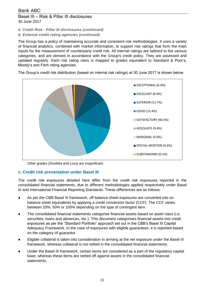30 June 2017

### *4. Credit Risk - Pillar III disclosures (continued)*

*b. External credit rating agencies (continued)*

The Group has a policy of maintaining accurate and consistent risk methodologies. It uses a variety of financial analytics, combined with market information, to support risk ratings that form the main inputs for the measurement of counterparty credit risk. All internal ratings are tailored to the various categories, and are derived in accordance with the Group's credit policy. They are assessed and updated regularly. Each risk rating class is mapped to grades equivalent to Standard & Poor's, Moody's and Fitch rating agencies.

The Group's credit risk distribution (based on internal risk ratings) at 30 June 2017 is shown below.



*Other grades (Doubtful and Loss) are insignificant.*

# **c. Credit risk presentation under Basel III**

The credit risk exposures detailed here differ from the credit risk exposures reported in the consolidated financial statements, due to different methodologies applied respectively under Basel III and International Financial Reporting Standards. These differences are as follows:

- As per the CBB Basel III framework, off balance sheet exposures are converted into on balance sheet equivalents by applying a credit conversion factor (CCF). The CCF varies between 20%, 50% or 100% depending on the type of contingent item.
- The consolidated financial statements categorise financial assets based on asset class (i.e. securities, loans and advances, etc.). This document categorises financial assets into credit exposures as per the "Standard Portfolio" approach set out in the CBB's Basel III Capital Adequacy Framework. In the case of exposures with eligible guarantees, it is reported based on the category of guarantor.
- Eligible collateral is taken into consideration in arriving at the net exposure under the Basel III framework, whereas collateral is not netted in the consolidated financial statements.
- Under the Basel III framework, certain items are considered as a part of the regulatory capital base, whereas these items are netted off against assets in the consolidated financial statements.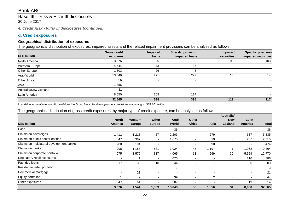Basel III – Risk & Pillar III disclosures 30 June 2017

*4. Credit Risk - Pillar III disclosures (continued)*

# **d. Credit exposures**

### **Geographical distribution of exposures**

The geographical distribution of exposures, impaired assets and the related impairment provisions can be analysed as follows:

|                       | <b>Gross credit</b> | Impaired                 | <b>Specific provision</b> | Impaired   | <b>Specific provision</b> |
|-----------------------|---------------------|--------------------------|---------------------------|------------|---------------------------|
| US\$ million          | exposure            | <b>loans</b>             | impaired loans            | securities | impaired securities       |
| North America         | 3,076               | 25                       | 8                         | 103        | 103                       |
| Western Europe        | 4,544               | 73                       | 35                        |            |                           |
| Other Europe          | 1,303               | 26                       | 8                         |            |                           |
| Arab World            | 13,049              | 271                      | 227                       | 16         | 14                        |
| Other Africa          | 56                  | $\overline{\phantom{0}}$ |                           |            |                           |
| Asia                  | 1,856               | $\overline{\phantom{0}}$ | $\overline{\phantom{0}}$  | -          |                           |
| Australia/New Zealand | 31                  | -                        | $\overline{\phantom{0}}$  |            |                           |
| Latin America         | 8,650               | 203                      | 117                       |            |                           |
|                       | 32,565              | 598                      | 395                       | 119        | 117                       |

*In addition to the above specific provisions the Group has collective impairment provisions amounting to US\$ 201 million.*

### The geographical distribution of gross credit exposures, by major type of credit exposure, can be analysed as follows:

|                                          |                          |                          |                          |                          |                          |                | Australia/               |                          |              |
|------------------------------------------|--------------------------|--------------------------|--------------------------|--------------------------|--------------------------|----------------|--------------------------|--------------------------|--------------|
|                                          | <b>North</b>             | Western                  | <b>Other</b>             | Arab                     | <b>Other</b>             |                | <b>New</b>               | Latin                    |              |
| US\$ million                             | <b>America</b>           | <b>Europe</b>            | <b>Europe</b>            | World                    | <b>Africa</b>            | Asia           | <b>Zealand</b>           | <b>America</b>           | <b>Total</b> |
| Cash                                     | $\blacksquare$           | $\overline{\phantom{0}}$ | ٠                        | 36                       | $\overline{\phantom{a}}$ |                | $\overline{\phantom{0}}$ | $\overline{\phantom{a}}$ | 36           |
| Claims on sovereigns                     | 1,411                    | 1,218                    | 87                       | 2,203                    | $\overline{\phantom{a}}$ | 279            | $\overline{\phantom{a}}$ | 637                      | 5,835        |
| Claims on public sector entities         | 47                       | 367                      | $\overline{\phantom{a}}$ | 1,675                    | ۰                        | 19             | $\blacksquare$           | 207                      | 2,315        |
| Claims on multilateral development banks | 280                      | 104                      | $\overline{\phantom{a}}$ | $\overline{\phantom{a}}$ | ۰                        | 90             | $\overline{\phantom{a}}$ | $\overline{\phantom{a}}$ | 474          |
| Claims on banks                          | 298                      | 1,158                    | 881                      | 3,924                    | 43                       | 1,197          |                          | 1,962                    | 9,464        |
| Claims on corporate portfolio            | 975                      | 1,572                    | 317                      | 4,065                    | 13                       | 269            | 30                       | 5,529                    | 12,770       |
| Regulatory retail exposures              | $\overline{\phantom{a}}$ |                          | $\overline{\phantom{a}}$ | 675                      | $\overline{\phantom{a}}$ |                | $\overline{\phantom{a}}$ | 210                      | 886          |
| Past due loans                           | 17                       | 38                       | 18                       | 44                       | $\overline{\phantom{a}}$ |                | $\overline{\phantom{0}}$ | 86                       | 203          |
| Residential retail portfolio             | $\overline{\phantom{a}}$ | $\overline{2}$           | $\overline{\phantom{a}}$ |                          | $\overline{\phantom{a}}$ |                | $\overline{\phantom{a}}$ | $\overline{\phantom{a}}$ | 3            |
| Commercial mortgage                      | $\overline{\phantom{a}}$ | 21                       | $\overline{\phantom{a}}$ | $\overline{\phantom{0}}$ | $\overline{\phantom{a}}$ |                | $\overline{\phantom{0}}$ | $\sim$                   | 21           |
| Equity portfolios                        |                          | $\overline{2}$           | $\overline{\phantom{a}}$ | 39                       | $\overline{\phantom{a}}$ | $\overline{2}$ | ٠                        | $\overline{\phantom{a}}$ | 44           |
| Other exposures                          | 47                       | 61                       | $\blacksquare$           | 387                      |                          |                | $\overline{\phantom{0}}$ | 19                       | 514          |
|                                          | 3,076                    | 4,544                    | 1,303                    | 13,049                   | 56                       | 1,856          | 31                       | 8,650                    | 32,565       |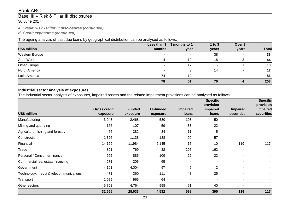# Basel III – Risk & Pillar III disclosures 30 June 2017

*4. Credit Risk - Pillar III disclosures (continued)*

*d. Credit exposures (continued)*

### The ageing analysis of past due loans by geographical distribution can be analysed as follows:

|                     | Less than 3              | 3 months to 1 | 1 to $3$                 | Over 3                   |              |
|---------------------|--------------------------|---------------|--------------------------|--------------------------|--------------|
| <b>US\$ million</b> | months                   | year          | years                    | years                    | <b>Total</b> |
| Western Europe      | $\overline{\phantom{a}}$ |               | 38                       | $\overline{\phantom{a}}$ | 38           |
| Arab World          |                          | 19            | 18                       | 3                        | 44           |
| Other Europe        |                          | 17            | $\tilde{\phantom{a}}$    |                          | 18           |
| North America       |                          |               | 14                       |                          | 17           |
| Latin America       | 74                       | 12            | $\overline{\phantom{a}}$ | ۰                        | 86           |
|                     | 78                       | 51            | 70                       |                          | 203          |

# **Industrial sector analysis of exposures**

The industrial sector analysis of exposures, impaired assets and the related impairment provisions can be analysed as follows:

|                                        |                                 |                           |                             |                          | <b>Specific</b><br>provision |                               | <b>Specific</b><br>provision |
|----------------------------------------|---------------------------------|---------------------------|-----------------------------|--------------------------|------------------------------|-------------------------------|------------------------------|
| <b>US\$ million</b>                    | <b>Gross credit</b><br>exposure | <b>Funded</b><br>exposure | <b>Unfunded</b><br>exposure | <b>Impaired</b><br>loans | impaired<br>loans            | <b>Impaired</b><br>securities | impaired<br>securities       |
| Manufacturing                          | 3,048                           | 2,468                     | 580                         | 103                      | 50                           | $\blacksquare$                |                              |
| Mining and quarrying                   | 166                             | 107                       | 59                          | 33                       | 22                           | ۰                             |                              |
| Agriculture, fishing and forestry      | 466                             | 382                       | 84                          | 11                       | 5                            | $\overline{\phantom{0}}$      |                              |
| Construction                           | 1,326                           | 1,138                     | 188                         | 99                       | 57                           | $\blacksquare$                |                              |
| Financial                              | 14,129                          | 11,984                    | 2,145                       | 15                       | 10                           | 119                           | 117                          |
| Trade                                  | 801                             | 769                       | 32                          | 205                      | 162                          | $\blacksquare$                |                              |
| Personal / Consumer finance            | 995                             | 886                       | 109                         | 26                       | 22                           | -                             |                              |
| Commercial real estate financing       | 271                             | 206                       | 65                          |                          | $\overline{\phantom{a}}$     | $\blacksquare$                |                              |
| Government                             | 4,101                           | 4,004                     | 97                          | $\overline{2}$           | $\overline{2}$               | ۰                             |                              |
| Technology, media & telecommunications | 471                             | 360                       | 111                         | 43                       | 25                           | $\blacksquare$                |                              |
| Transport                              | 1,029                           | 965                       | 64                          |                          | $\blacksquare$               | $\blacksquare$                |                              |
| Other sectors                          | 5,762                           | 4,764                     | 998                         | 61                       | 40                           | $\blacksquare$                |                              |
|                                        | 32,565                          | 28,033                    | 4,532                       | 598                      | 395                          | 119                           | 117                          |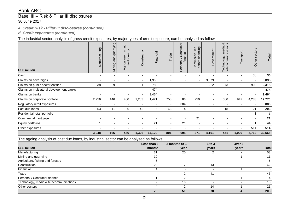# Basel III – Risk & Pillar III disclosures 30 June 2017

### *4. Credit Risk - Pillar III disclosures (continued)*

*d. Credit exposures (continued)*

### The industrial sector analysis of gross credit exposures, by major types of credit exposure, can be analysed as follows:

| US\$ million                             | Manufacturing            | Mining and quarrying     | fishing<br>and forestry<br>ure<br>Agricult | Construction             | Financial | Trade                    | Consumer<br>finance<br>$\overline{\phantom{0}}$<br>irsonal<br>$\boldsymbol{\omega}$<br>$\Omega$ | Commercial real<br>financing<br>estate | Government               | ∞<br>ations<br>media<br>telecommunic-<br>Technology, | Transport                | sectors<br>Other | Total  |
|------------------------------------------|--------------------------|--------------------------|--------------------------------------------|--------------------------|-----------|--------------------------|-------------------------------------------------------------------------------------------------|----------------------------------------|--------------------------|------------------------------------------------------|--------------------------|------------------|--------|
| Cash                                     | $\blacksquare$           | $\blacksquare$           |                                            |                          |           |                          |                                                                                                 |                                        | ۰                        |                                                      |                          | 36               | 36     |
| Claims on sovereigns                     |                          | $\overline{\phantom{a}}$ |                                            | $\overline{\phantom{a}}$ | 956,      |                          |                                                                                                 | $\blacksquare$                         | 3,879                    | $\overline{\phantom{a}}$                             |                          |                  | 5,835  |
| Claims on public sector entities         | 238                      | 9                        | $\overline{\phantom{a}}$                   | -1                       | 788       | $\overline{\phantom{a}}$ | $\overline{\phantom{0}}$                                                                        | $\overline{\phantom{0}}$               | 222                      | 73                                                   | 82                       | 902              | 2,315  |
| Claims on multilateral development banks | $\overline{\phantom{a}}$ | $\blacksquare$           | $\overline{\phantom{a}}$                   | $\overline{\phantom{a}}$ | 474       | $\overline{\phantom{0}}$ | $\overline{\phantom{0}}$                                                                        |                                        | $\blacksquare$           | $\overline{\phantom{a}}$                             | $\overline{\phantom{0}}$ | ٠                | 474    |
| Claims on banks                          |                          |                          |                                            |                          | 9,464     |                          |                                                                                                 |                                        |                          |                                                      |                          |                  | 9,464  |
| Claims on corporate portfolio            | 2,756                    | 146                      | 460                                        | 1,283                    | 1,421     | 758                      | 86                                                                                              | 250                                    | $\blacksquare$           | 380                                                  | 947                      | 4,283            | 12,770 |
| Regulatory retail exposures              | $\overline{\phantom{a}}$ | $\blacksquare$           |                                            |                          |           | $\blacksquare$           | 884                                                                                             | $\overline{\phantom{a}}$               | $\blacksquare$           |                                                      |                          | 2                | 886    |
| Past due loans                           | 53                       | 11                       | 6                                          | 42                       | 5         | 43                       | 4                                                                                               |                                        | -                        | 18                                                   | $\overline{\phantom{a}}$ | 21               | 203    |
| Residential retail portfolio             | $\overline{\phantom{0}}$ | $\blacksquare$           | $\overline{\phantom{0}}$                   |                          |           |                          | $\overline{\phantom{0}}$                                                                        |                                        | ۰                        |                                                      | ٠                        | 3                | 3      |
| Commercial mortgage                      | $\overline{\phantom{0}}$ | $\overline{\phantom{a}}$ |                                            |                          |           |                          |                                                                                                 | 21                                     | $\overline{\phantom{a}}$ |                                                      |                          |                  | 21     |
| Equity portfolios                        |                          | ۰                        |                                            |                          | 21        |                          | 21                                                                                              |                                        |                          |                                                      |                          |                  | 44     |
| Other exposures                          |                          |                          |                                            |                          |           |                          |                                                                                                 |                                        |                          |                                                      |                          | 514              | 514    |
|                                          | 3,048                    | 166                      | 466                                        | 1,326                    | 14,129    | 801                      | 995                                                                                             | 271                                    | 4,101                    | 471                                                  | 1,029                    | 5,762            | 32,565 |

The ageing analysis of past due loans, by industrial sector can be analysed as follows:

|                                        | Less than 3 | 3 months to 1 | 1 to $3$                 | Over 3 |              |
|----------------------------------------|-------------|---------------|--------------------------|--------|--------------|
| US\$ million                           | months      | year          | years                    | years  | <b>Total</b> |
| Manufacturing                          | 31          | 20            |                          |        | 53           |
| Mining and quarrying                   | 10          |               |                          |        | 11           |
| Agriculture, fishing and forestry      |             |               | $\overline{a}$           |        |              |
| Construction                           | 22          |               | 13                       |        | 42           |
| Financial                              |             |               | $\overline{\phantom{a}}$ |        |              |
| Trade                                  |             |               | 41                       |        | 43           |
| Personal / Consumer finance            |             |               |                          |        |              |
| Technology, media & telecommunications |             | 18            |                          |        | 18           |
| Other sectors                          |             |               | 14                       |        | 21           |
|                                        | 78          | 51            | 70                       |        | 203          |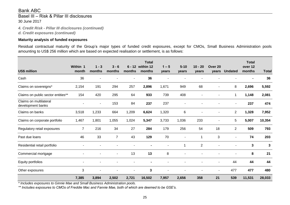# Basel III – Risk & Pillar III disclosures 30 June 2017

*4. Credit Risk - Pillar III disclosures (continued) d. Credit exposures (continued)*

### **Maturity analysis of funded exposures**

Residual contractual maturity of the Group's major types of funded credit exposures, except for CMOs, Small Business Administration pools amounting to US\$ 256 million which are based on expected realisation or settlement, is as follows:

| <b>US\$ million</b>                         | Within 1<br>month | $1 - 3$<br>months | $3 - 6$<br>months | $6 - 12$<br>months | <b>Total</b><br>within 12<br>months | $1 - 5$<br>years | $5 - 10$<br>years | $10 - 20$<br>years       | Over <sub>20</sub><br>years | <b>Undated</b> | <b>Total</b><br>over 12<br>months | <b>Total</b> |
|---------------------------------------------|-------------------|-------------------|-------------------|--------------------|-------------------------------------|------------------|-------------------|--------------------------|-----------------------------|----------------|-----------------------------------|--------------|
| Cash                                        | 36                |                   |                   | ٠                  | 36                                  | ٠                |                   |                          |                             |                |                                   | 36           |
| Claims on sovereigns*                       | 2,154             | 191               | 294               | 257                | 2,896                               | 1,671            | 949               | 68                       |                             | 8              | 2,696                             | 5,592        |
| Claims on public sector entities**          | 154               | 420               | 295               | 64                 | 933                                 | 739              | 408               |                          |                             | 1              | 1,148                             | 2,081        |
| Claims on multilateral<br>development banks |                   | $\blacksquare$    | 153               | 84                 | 237                                 | 237              |                   |                          |                             | ٠              | 237                               | 474          |
| Claims on banks                             | 3,518             | 1,233             | 664               | 1,209              | 6,624                               | 1,320            | 6                 |                          |                             | $\overline{c}$ | 1,328                             | 7,952        |
| Claims on corporate portfolio               | 1,467             | 1,801             | 1,055             | 1,024              | 5,347                               | 3,733            | 1,036             | 233                      |                             | 5              | 5,007                             | 10,354       |
| Regulatory retail exposures                 | $\overline{7}$    | 216               | 34                | 27                 | 284                                 | 179              | 256               | 54                       | 18                          | $\overline{2}$ | 509                               | 793          |
| Past due loans                              | 46                | 33                | $\overline{7}$    | 43                 | 129                                 | 70               |                   | $\overline{\phantom{a}}$ | 3                           |                | 74                                | 203          |
| Residential retail portfolio                |                   |                   |                   |                    |                                     |                  | 1                 | $\mathbf{2}$             |                             |                | 3                                 | 3            |
| Commercial mortgage                         |                   |                   |                   | 13                 | 13                                  | 8                |                   |                          |                             |                | 8                                 | 21           |
| Equity portfolios                           |                   |                   |                   |                    |                                     |                  |                   |                          |                             | 44             | 44                                | 44           |
| Other exposures                             | 3                 | $\blacksquare$    |                   |                    | 3                                   |                  |                   |                          |                             | 477            | 477                               | 480          |
|                                             | 7,385             | 3,894             | 2,502             | 2,721              | 16,502                              | 7,957            | 2,656             | 358                      | 21                          | 539            | 11,531                            | 28,033       |

*\* Includes exposures to Ginnie Mae and Small Business Administration pools.*

*\*\* Includes exposures to CMOs of Freddie Mac and Fannie Mae, both of which are deemed to be GSE's.*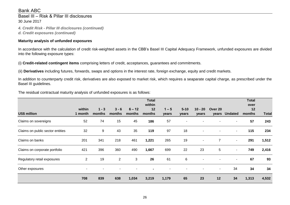Basel III – Risk & Pillar III disclosures 30 June 2017

*4. Credit Risk - Pillar III disclosures (continued) d. Credit exposures (continued)*

### **Maturity analysis of unfunded exposures**

In accordance with the calculation of credit risk-weighted assets in the CBB's Basel III Capital Adequacy Framework, unfunded exposures are divided into the following exposure types:

(i) **Credit-related contingent items** comprising letters of credit, acceptances, guarantees and commitments.

(ii) **Derivatives** including futures, forwards, swaps and options in the interest rate, foreign exchange, equity and credit markets.

In addition to counterparty credit risk, derivatives are also exposed to market risk, which requires a seaparate capital charge, as prescribed under the Basel III guidelines.

The residual contractual maturity analysis of unfunded exposures is as follows:

|                                  |                   |                   |                   |                    | <b>Total</b><br>within |                  |                          |                          |                          |                          | <b>Total</b><br>over |              |
|----------------------------------|-------------------|-------------------|-------------------|--------------------|------------------------|------------------|--------------------------|--------------------------|--------------------------|--------------------------|----------------------|--------------|
| <b>US\$ million</b>              | within<br>1 month | $1 - 3$<br>months | $3 - 6$<br>months | $6 - 12$<br>months | 12<br>months           | $1 - 5$<br>years | $5 - 10$<br>years        | $10 - 20$<br>years       | Over 20                  | years Undated            | 12<br>months         | <b>Total</b> |
| Claims on sovereigns             | 52                | 74                | 15                | 45                 | 186                    | 57               | $\overline{\phantom{a}}$ |                          |                          |                          | 57                   | 243          |
| Claims on public sector entities | 32                | 9                 | 43                | 35                 | 119                    | 97               | 18                       | $\blacksquare$           |                          | $\overline{\phantom{a}}$ | 115                  | 234          |
| Claims on banks                  | 201               | 341               | 218               | 461                | 1,221                  | 265              | 19                       | $\overline{\phantom{a}}$ | $\overline{7}$           | $\overline{\phantom{a}}$ | 291                  | 1,512        |
| Claims on corporate portfolio    | 421               | 396               | 360               | 490                | 1,667                  | 699              | 22                       | 23                       | 5                        | $\overline{\phantom{a}}$ | 749                  | 2,416        |
| Regulatory retail exposures      | $\overline{2}$    | 19                | $\overline{2}$    | 3                  | 26                     | 61               | 6                        | $\overline{\phantom{0}}$ |                          | $\blacksquare$           | 67                   | 93           |
| Other exposures                  | $\blacksquare$    |                   |                   |                    |                        | $\blacksquare$   | $\overline{\phantom{a}}$ | $\blacksquare$           | $\overline{\phantom{a}}$ | 34                       | 34                   | 34           |
|                                  | 708               | 839               | 638               | 1,034              | 3,219                  | 1,179            | 65                       | 23                       | 12                       | 34                       | 1,313                | 4,532        |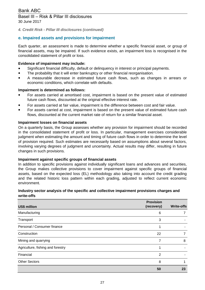30 June 2017

*4. Credit Risk - Pillar III disclosures (continued)*

# **e. Impaired assets and provisions for impairment**

Each quarter, an assessment is made to determine whether a specific financial asset, or group of financial assets, may be impaired. If such evidence exists, an impairment loss is recognised in the consolidated statement of profit or loss.

### **Evidence of impairment may include:**

- Significant financial difficulty, default or delinquency in interest or principal payments.
- The probability that it will enter bankruptcy or other financial reorganisation.
- A measurable decrease in estimated future cash flows, such as changes in arrears or economic conditions, which correlate with defaults.

### **Impairment is determined as follows:**

- For assets carried at amortised cost, impairment is based on the present value of estimated future cash flows, discounted at the original effective interest rate.
- For assets carried at fair value, impairment is the difference between cost and fair value.
- For assets carried at cost, impairment is based on the present value of estimated future cash flows, discounted at the current market rate of return for a similar financial asset.

### **Impairment losses on financial assets**

On a quarterly basis, the Group assesses whether any provision for impairment should be recorded in the consolidated statement of profit or loss. In particular, management exercises considerable judgment when estimating the amount and timing of future cash flows in order to determine the level of provision required. Such estimates are necessarily based on assumptions about several factors, involving varying degrees of judgment and uncertainty. Actual results may differ, resulting in future changes in such provisions.

### **Impairment against specific groups of financial assets**

In addition to specific provisions against individually significant loans and advances and securities, the Group makes collective provisions to cover impairment against specific groups of financial assets, based on the expected loss (EL) methodology also taking into account the credit grading and the related historic loss pattern within each grading, adjusted to reflect current economic environment.

### **Industry sector analysis of the specific and collective impairment provisions charges and write-offs**

| US\$ million                      | <b>Provision</b><br>(recovery) | <b>Write-offs</b> |
|-----------------------------------|--------------------------------|-------------------|
| Manufacturing                     | 6                              |                   |
| Transport                         | 3                              |                   |
| Personal / Consumer finance       |                                |                   |
| Construction                      | 22                             |                   |
| Mining and quarrying              | 7                              | 8                 |
| Agriculture, fishing and forestry |                                |                   |
| Financial                         | 2                              |                   |
| <b>Other Sectors</b>              | 8                              |                   |
|                                   | 50                             | 23                |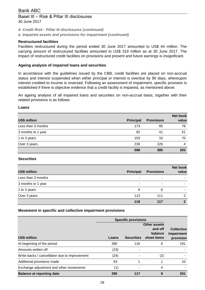# Basel III – Risk & Pillar III disclosures 30 June 2017

*4. Credit Risk - Pillar III disclosures (continued)*

*e. Impaired assets and provisions for impairment (continued)*

# **Restructured facilities**

Facilities restructured during the period ended 30 June 2017 amounted to US\$ 44 million. The carrying amount of restructured facilities amounted to US\$ 319 million as at 30 June 2017. The impact of restructured credit facilities on provisions and present and future earnings is insignificant.

### **Ageing analysis of impaired loans and securities**

In accordance with the guidelines issued by the CBB, credit facilities are placed on non-accrual status and interest suspended when either principal or interest is overdue by 90 days, whereupon interest credited to income is reversed. Following an assessment of impairment, specific provision is established if there is objective evidence that a credit facility is impaired, as mentioned above.

An ageing analysis of all impaired loans and securities on non-accrual basis, together with their related provisions is as follows:

### **Loans**

|                     |                  |                   | <b>Net book</b> |
|---------------------|------------------|-------------------|-----------------|
| <b>US\$ million</b> | <b>Principal</b> | <b>Provisions</b> | value           |
| Less than 3 months  | 173              | 95                | 78              |
| 3 months to 1 year  | 92               | -41               | 51              |
| 1 to 3 years        | 103              | 33                | 70              |
| Over 3 years        | 230              | 226               | 4               |
|                     | 598              | 395               | 203             |

### **Securities**

|                     |                  |                   | <b>Net book</b> |
|---------------------|------------------|-------------------|-----------------|
| <b>US\$ million</b> | <b>Principal</b> | <b>Provisions</b> | value           |
| Less than 3 months  | ٠                | ٠                 | ۰               |
| 3 months to 1 year  | -                | -                 | -               |
| 1 to 3 years        | 6                | 6                 | ۰               |
| Over 3 years        | 113              | 111               | ົ               |
|                     | 119              | 117               |                 |

### **Movement in specific and collective impairment provisions**

|                                               |       | <b>Specific provisions</b> |                                                   |                                              |
|-----------------------------------------------|-------|----------------------------|---------------------------------------------------|----------------------------------------------|
| <b>US\$ million</b>                           | Loans | <b>Securities</b>          | Other assets<br>and off<br>balance<br>sheet items | <b>Collective</b><br>impairment<br>provision |
| At beginning of the period                    | 380   | 116                        | 6                                                 | 191                                          |
| Amounts written off                           | (23)  |                            |                                                   |                                              |
| Write backs / cancellation due to improvement | (24)  |                            | (2)                                               |                                              |
| Additional provisions made                    | 63    |                            |                                                   | 10                                           |
| Exchange adjustment and other movements       | (1)   |                            | 4                                                 |                                              |
| <b>Balance at reporting date</b>              | 395   | 117                        | 9                                                 | 201                                          |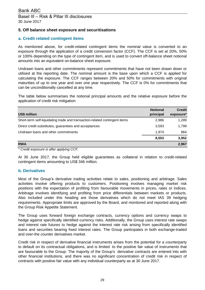# **5. Off balance sheet exposure and securitisations**

# **a. Credit related contingent items**

As mentioned above, for credit-related contingent items the nominal value is converted to an exposure through the application of a credit conversion factor (CCF). The CCF is set at 20%, 50% or 100% depending on the type of contingent item, and is used to convert off-balance sheet notional amounts into an equivalent on-balance sheet exposure.

Undrawn loans and other commitments represent commitments that have not been drawn down or utilised at the reporting date. The nominal amount is the base upon which a CCF is applied for calculating the exposure. The CCF ranges between 20% and 50% for commitments with original maturities of up to one year and over one year respectively. The CCF is 0% for commitments that can be unconditionally cancelled at any time.

The table below summarises the notional principal amounts and the relative exposure before the application of credit risk mitigation:

| <b>US\$ million</b>                                                        | <b>Notional</b><br>principal | <b>Credit</b><br>exposure* |
|----------------------------------------------------------------------------|------------------------------|----------------------------|
| Short-term self-liquidating trade and transaction-related contingent items | 2,986                        | 1,289                      |
| Direct credit substitutes, guarantees and acceptances                      | 3,593                        | 1,799                      |
| Undrawn loans and other commitments                                        | 1.974                        | 864                        |
|                                                                            | 8,553                        | 3,952                      |
| <b>RWA</b>                                                                 |                              | 2,967                      |

*\* Credit exposure is after applying CCF.*

At 30 June 2017, the Group held eligible guarantees as collateral in relation to credit-related contingent items amounting to US\$ 346 million.

### **b. Derivatives**

Most of the Group's derivative trading activities relate to sales, positioning and arbitrage. Sales activities involve offering products to customers. Positioning involves managing market risk positions with the expectation of profiting from favourable movements in prices, rates or indices. Arbitrage involves identifying and profiting from price differentials between markets or products. Also included under this heading are those derivatives which do not meet IAS 39 hedging requirements. Appropriate limits are approved by the Board, and monitored and reported along with the Group Risk Appetite Statement.

The Group uses forward foreign exchange contracts, currency options and currency swaps to hedge against specifically identified currency risks. Additionally, the Group uses interest rate swaps and interest rate futures to hedge against the interest rate risk arising from specifically identified loans and securities bearing fixed interest rates. The Group participates in both exchange-traded and over-the counter derivatives market.

Credit risk in respect of derivative financial instruments arises from the potential for a counterparty to default on its contractual obligations, and is limited to the positive fair value of instruments that are favourable to the Group. The majority of the Group's derivative contracts are entered into with other financial institutions, and there was no significant concentration of credit risk in respect of contracts with positive fair value with any individual counterparty as at 30 June 2017.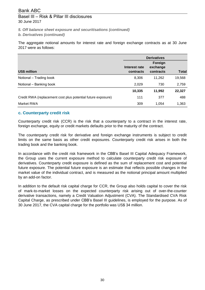*5. Off balance sheet exposure and securitisations (continued)*

*b. Derivatives (continued)*

The aggregate notional amounts for interest rate and foreign exchange contracts as at 30 June 2017 were as follows:

|                                                              |                            | <b>Derivatives</b>    |              |
|--------------------------------------------------------------|----------------------------|-----------------------|--------------|
|                                                              |                            | Foreign               |              |
| <b>US\$ million</b>                                          | Interest rate<br>contracts | exchange<br>contracts | <b>Total</b> |
| Notional - Trading book                                      | 8,306                      | 11,262                | 19,568       |
| Notional – Banking book                                      | 2,029                      | 730                   | 2,759        |
|                                                              | 10,335                     | 11,992                | 22,327       |
| Credit RWA (replacement cost plus potential future exposure) | 111                        | 377                   | 488          |
| Market RWA                                                   | 309                        | 1.054                 | 1,363        |

### **c. Counterparty credit risk**

Counterparty credit risk (CCR) is the risk that a counterparty to a contract in the interest rate, foreign exchange, equity or credit markets defaults prior to the maturity of the contract.

The counterparty credit risk for derivative and foreign exchange instruments is subject to credit limits on the same basis as other credit exposures. Counterparty credit risk arises in both the trading book and the banking book.

In accordance with the credit risk framework in the CBB's Basel III Capital Adequacy Framework, the Group uses the current exposure method to calculate counterparty credit risk exposure of derivatives. Counterparty credit exposure is defined as the sum of replacement cost and potential future exposure. The potential future exposure is an estimate that reflects possible changes in the market value of the individual contract, and is measured as the notional principal amount multiplied by an add-on factor.

In addition to the default risk capital charge for CCR, the Group also holds capital to cover the risk of mark-to-market losses on the expected counterparty risk arising out of over-the-counter derivative transactions, namely a Credit Valuation Adjustment (CVA). The Standardised CVA Risk Capital Charge, as prescribed under CBB's Basel III guidelines, is employed for the purpose. As of 30 June 2017, the CVA capital charge for the portfolio was US\$ 34 million.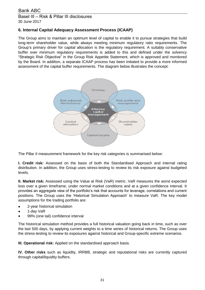# **6. Internal Capital Adequacy Assessment Process (ICAAP)**

The Group aims to maintain an optimum level of capital to enable it to pursue strategies that build long-term shareholder value, while always meeting minimum regulatory ratio requirements. The Group's primary driver for capital allocation is the regulatory requirement. A suitably conservative buffer over minimum regulatory requirements is added to this and defined under the solvency "Strategic Risk Objective" in the Group Risk Appetite Statement, which is approved and monitored by the Board. In addition, a separate ICAAP process has been initiated to provide a more informed assessment of the capital buffer requirements. The diagram below illustrates the concept:



The Pillar II measurement framework for the key risk categories is summarised below:

**I. Credit risk:** Assessed on the basis of both the Standardised Approach and internal rating distribution. In addition, the Group uses stress-testing to review its risk exposure against budgeted levels.

**II. Market risk:** Assessed using the Value at Risk (VaR) metric. VaR measures the worst expected loss over a given timeframe, under normal market conditions and at a given confidence interval. It provides an aggregate view of the portfolio's risk that accounts for leverage, correlations and current positions. The Group uses the 'Historical Simulation Approach' to measure VaR. The key model assumptions for the trading portfolio are:

- 2-year historical simulation
- 1-day VaR
- 99% (one tail) confidence interval

The historical simulation method provides a full historical valuation going back in time, such as over the last 500 days, by applying current weights to a time series of historical returns. The Group uses the stress-testing to review its exposures against historical and Group-specific extreme scenarios.

**III. Operational risk:** Applied on the standardised approach basis.

**IV. Other risks** such as liquidity, IRRBB, strategic and reputational risks are currently captured through capital/liquidity buffers.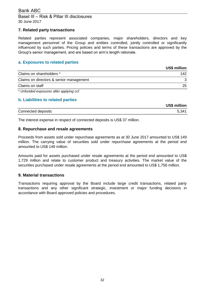# Basel III – Risk & Pillar III disclosures 30 June 2017

### **7. Related party transactions**

Related parties represent associated companies, major shareholders, directors and key management personnel of the Group and entities controlled, jointly controlled or significantly influenced by such parties. Pricing policies and terms of these transactions are approved by the Group's senior management, and are based on arm's length rationale.

### **a. Exposures to related parties**

|                                         | US\$ million |
|-----------------------------------------|--------------|
| Claims on shareholders *                | 142          |
| Claims on directors & senior management |              |
| Claims on staff                         | 25           |

*\* Unfunded exposures after applying ccf.*

### **b. Liabilities to related parties**

|                    | <b>US\$ million</b> |
|--------------------|---------------------|
| Connected deposits | 1341 ז              |

The interest expense in respect of connected deposits is US\$ 37 million.

### **8. Repurchase and resale agreements**

Proceeds from assets sold under repurchase agreements as at 30 June 2017 amounted to US\$ 149 million. The carrying value of securities sold under repurchase agreements at the period end amounted to US\$ 149 million.

Amounts paid for assets purchased under resale agreements at the period end amounted to US\$ 1,729 million and relate to customer product and treasury activities. The market value of the securities purchased under resale agreements at the period end amounted to US\$ 1,756 million.

### **9. Material transactions**

Transactions requiring approval by the Board include large credit transactions, related party transactions and any other significant strategic, investment or major funding decisions in accordance with Board approved policies and procedures.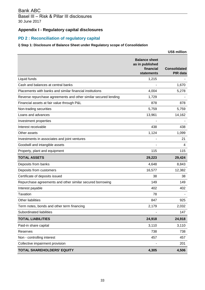# Basel III – Risk & Pillar III disclosures 30 June 2017

# **Appendix I - Regulatory capital disclosures**

# **PD 2 : Reconciliation of regulatory capital**

# **i) Step 1: Disclosure of Balance Sheet under Regulatory scope of Consolidation**

|                                                                 |                                                                    | <b>US\$ million</b>                    |
|-----------------------------------------------------------------|--------------------------------------------------------------------|----------------------------------------|
|                                                                 | <b>Balance sheet</b><br>as in published<br>financial<br>statements | <b>Consolidated</b><br><b>PIR data</b> |
| Liquid funds                                                    | 1,215                                                              |                                        |
| Cash and balances at central banks                              |                                                                    | 1,670                                  |
| Placements with banks and similar financial institutions        | 4,004                                                              | 5,278                                  |
| Reverse repurchase agreements and other similar secured lending | 1,729                                                              |                                        |
| Financial assets at fair value through P&L                      | 878                                                                | 878                                    |
| Non-trading securities                                          | 5,759                                                              | 5,759                                  |
| Loans and advances                                              | 13,961                                                             | 14,162                                 |
| Investment properties                                           |                                                                    |                                        |
| Interest receivable                                             | 438                                                                | 438                                    |
| Other assets                                                    | 1,124                                                              | 1,099                                  |
| Investments in associates and joint ventures                    |                                                                    | 21                                     |
| Goodwill and intangible assets                                  |                                                                    | 4                                      |
| Property, plant and equipment                                   | 115                                                                | 115                                    |
| <b>TOTAL ASSETS</b>                                             | 29,223                                                             | 29,424                                 |
| Deposits from banks                                             | 4,648                                                              | 8,843                                  |
| Deposits from customers                                         | 16,577                                                             | 12,382                                 |
| Certificate of deposits issued                                  | 38                                                                 | 38                                     |
| Repurchase agreements and other similar secured borrowing       | 149                                                                | 149                                    |
| Interest payable                                                | 402                                                                | 402                                    |
| Taxation                                                        | 78                                                                 |                                        |
| Other liabilities                                               | 847                                                                | 925                                    |
| Term notes, bonds and other term financing                      | 2,179                                                              | 2,032                                  |
| Subordinated liabilities                                        |                                                                    | 147                                    |
| <b>TOTAL LIABILITIES</b>                                        | 24,918                                                             | 24,918                                 |
| Paid-in share capital                                           | 3,110                                                              | 3,110                                  |
| Reserves                                                        | 738                                                                | 738                                    |
| Non - controlling interest                                      | 457                                                                | 457                                    |
| Collective impairment provision                                 |                                                                    | 201                                    |
| TOTAL SHAREHOLDERS' EQUITY                                      | 4,305                                                              | 4,506                                  |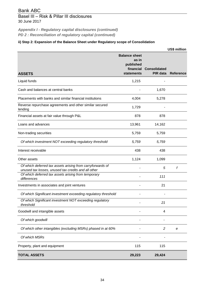# Basel III – Risk & Pillar III disclosures 30 June 2017

*Appendix I - Regulatory capital disclosures (continued) PD 2 : Reconciliation of regulatory capital (continued)*

### **ii) Step 2: Expansion of the Balance Sheet under Regulatory scope of Consolidation**

|                                                                                                                   |                                                                              |                                 | <b>US\$ million</b> |
|-------------------------------------------------------------------------------------------------------------------|------------------------------------------------------------------------------|---------------------------------|---------------------|
| <b>ASSETS</b>                                                                                                     | <b>Balance sheet</b><br>as in<br>published<br>financial<br><b>statements</b> | <b>Consolidated</b><br>PIR data | <b>Reference</b>    |
| Liquid funds                                                                                                      | 1,215                                                                        |                                 |                     |
| Cash and balances at central banks                                                                                |                                                                              | 1,670                           |                     |
| Placements with banks and similar financial institutions                                                          | 4,004                                                                        | 5,278                           |                     |
| Reverse repurchase agreements and other similar secured<br>lending                                                | 1,729                                                                        |                                 |                     |
| Financial assets at fair value through P&L                                                                        | 878                                                                          | 878                             |                     |
| Loans and advances                                                                                                | 13,961                                                                       | 14,162                          |                     |
| Non-trading securities                                                                                            | 5,759                                                                        | 5,759                           |                     |
| Of which investment NOT exceeding regulatory threshold                                                            | 5,759                                                                        | 5,759                           |                     |
| Interest receivable                                                                                               | 438                                                                          | 438                             |                     |
| Other assets                                                                                                      | 1,124                                                                        | 1,099                           |                     |
| Of which deferred tax assets arising from carryforwards of<br>unused tax losses, unused tax credits and all other |                                                                              | 5                               | f                   |
| Of which deferred tax assets arising from temporary<br>differences                                                |                                                                              | 111                             |                     |
| Investments in associates and joint ventures                                                                      |                                                                              | 21                              |                     |
| Of which Significant investment exceeding regulatory threshold                                                    |                                                                              |                                 |                     |
| Of which Significant investment NOT exceeding regulatory<br>threshold                                             |                                                                              | 21                              |                     |
| Goodwill and intangible assets                                                                                    |                                                                              | 4                               |                     |
| Of which goodwill                                                                                                 |                                                                              |                                 |                     |
| Of which other intangibles (excluding MSRs) phased in at 60%                                                      |                                                                              | $\overline{c}$                  | e                   |
| Of which MSRs                                                                                                     |                                                                              |                                 |                     |
| Property, plant and equipment                                                                                     | 115                                                                          | 115                             |                     |
| <b>TOTAL ASSETS</b>                                                                                               | 29,223                                                                       | 29,424                          |                     |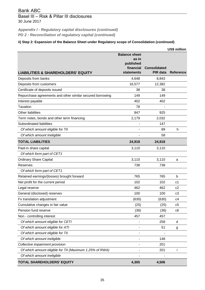# Basel III – Risk & Pillar III disclosures 30 June 2017

*PD 2 : Reconciliation of regulatory capital (continued) Appendix I - Regulatory capital disclosures (continued)*

# **ii) Step 2: Expansion of the Balance Sheet under Regulatory scope of Consolidation (continued)**

|                                                           |                                                                       |                                 | <b>US\$ million</b> |
|-----------------------------------------------------------|-----------------------------------------------------------------------|---------------------------------|---------------------|
| <b>LIABILITIES &amp; SHAREHOLDERS' EQUITY</b>             | <b>Balance sheet</b><br>as in<br>published<br>financial<br>statements | <b>Consolidated</b><br>PIR data | <b>Reference</b>    |
| Deposits from banks                                       | 4,648                                                                 | 8,843                           |                     |
| Deposits from customers                                   | 16,577                                                                | 12,382                          |                     |
| Certificate of deposits issued                            | 38                                                                    | 38                              |                     |
| Repurchase agreements and other similar secured borrowing | 149                                                                   | 149                             |                     |
| Interest payable                                          | 402                                                                   | 402                             |                     |
| <b>Taxation</b>                                           | 78                                                                    |                                 |                     |
| Other liabilities                                         | 847                                                                   | 925                             |                     |
| Term notes, bonds and other term financing                | 2,179                                                                 | 2,032                           |                     |
| Subordinated liabilities                                  |                                                                       | 147                             |                     |
| Of which amount eligible for TII                          |                                                                       | 89                              | h                   |
| Of which amount Ineligible                                |                                                                       | 58                              |                     |
| <b>TOTAL LIABILITIES</b>                                  | 24,918                                                                | 24,918                          |                     |
| Paid-in share capital                                     | 3,110                                                                 | 3,110                           |                     |
| Of which form part of CET1                                |                                                                       |                                 |                     |
| <b>Ordinary Share Capital</b>                             | 3,110                                                                 | 3,110                           | a                   |
| Reserves                                                  | 738                                                                   | 738                             |                     |
| Of which form part of CET1                                |                                                                       |                                 |                     |
| Retained earnings/(losses) brought forward                | 765                                                                   | 765                             | b                   |
| Net profit for the current period                         | 102                                                                   | 102                             | c <sub>1</sub>      |
| Legal reserve                                             | 462                                                                   | 462                             | c2                  |
| General (disclosed) reserves                              | 100                                                                   | 100                             | c <sub>3</sub>      |
| Fx translation adjustment                                 | (630)                                                                 | (630)                           | c4                  |
| Cumulative changes in fair value                          | (25)                                                                  | (25)                            | c5                  |
| Pension fund reserve                                      | (36)                                                                  | (36)                            | c6                  |
| Non - controlling interest                                | 457                                                                   | 457                             |                     |
| Of which amount eligible for CETI                         |                                                                       | 258                             | d                   |
| Of which amount eligible for ATI                          |                                                                       | 51                              | g                   |
| Of which amount eligible for TII                          |                                                                       |                                 |                     |
| Of which amount ineligible                                |                                                                       | 148                             |                     |
| Collective impairment provision                           |                                                                       | 201                             |                     |
| Of which amount eligible for TII (Maximum 1.25% of RWA)   |                                                                       | 201                             | i                   |
| Of which amount Ineligible                                |                                                                       |                                 |                     |
| TOTAL SHAREHOLDERS' EQUITY                                | 4,305                                                                 | 4,506                           |                     |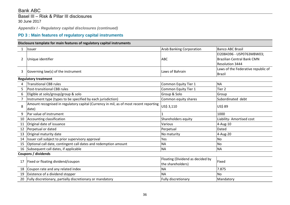Basel III – Risk & Pillar III disclosures 30 June 2017

*Appendix I - Regulatory capital disclosures (continued)*

# **PD 3 : Main features of regulatory capital instruments**

### **Disclosure template for main features of regulatory capital instruments**

| 1              | <b>Issuer</b>                                                                         | <b>Arab Banking Corporation</b>  | <b>Banco ABC Brasil</b>            |
|----------------|---------------------------------------------------------------------------------------|----------------------------------|------------------------------------|
|                |                                                                                       |                                  | EI2084396 - USP0763MBW03;          |
| $\overline{2}$ | Unique identifier                                                                     | <b>ABC</b>                       | <b>Brazilian Central Bank CMN</b>  |
|                |                                                                                       |                                  | Resolution 3444                    |
|                |                                                                                       |                                  | Laws of the Federative republic of |
| 3              | Governing law(s) of the instrument                                                    | Laws of Bahrain                  | <b>Brazil</b>                      |
|                | <b>Regulatory treatment</b>                                                           |                                  |                                    |
| 4              | <b>Transitional CBB rules</b>                                                         | Common Equity Tier 1             | <b>NA</b>                          |
| 5              | Post-transitional CBB rules                                                           | Common Equity Tier 1             | Tier <sub>2</sub>                  |
| 6              | Eligible at solo/group/group & solo                                                   | Group & Solo                     | Group                              |
| 7              | Instrument type (types to be specified by each jurisdiction)                          | Common equity shares             | Subordinated debt                  |
|                | Amount recognised in regulatory capital (Currency in mil, as of most recent reporting |                                  |                                    |
| 8              | date)                                                                                 | US\$ 3,110                       | US\$ 89                            |
| 9              | Par value of instrument                                                               |                                  | 1000                               |
| 10             | Accounting classification                                                             | Shareholders equity              | Liability- Amortised cost          |
| 11             | Original date of issuance                                                             | Various                          | $4 - Aug-10$                       |
| 12             | Perpetual or dated                                                                    | Perpetual                        | Dated                              |
| 13             | Original maturity date                                                                | No maturity                      | 4-Aug-20                           |
| 14             | Issuer call subject to prior supervisory approval                                     | Yes                              | <b>No</b>                          |
| 15             | Optional call date, contingent call dates and redemption amount                       | <b>NA</b>                        | No                                 |
| 16             | Subsequent call dates, if applicable                                                  | <b>NA</b>                        | <b>NA</b>                          |
|                | Coupons / dividends                                                                   |                                  |                                    |
|                |                                                                                       | Floating (Dividend as decided by | Fixed                              |
| 17             | Fixed or floating dividend/coupon                                                     | the shareholders)                |                                    |
| 18             | Coupon rate and any related index                                                     | <b>NA</b>                        | 7.875                              |
| 19             | Existence of a dividend stopper                                                       | <b>NA</b>                        | <b>No</b>                          |
| 20             | Fully discretionary, partially discretionary or mandatory                             | Fully discretionary              | Mandatory                          |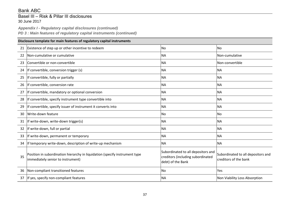# Basel III – Risk & Pillar III disclosures 30 June 2017

*Appendix I - Regulatory capital disclosures (continued) PD 3 : Main features of regulatory capital instruments (continued)*

|    | Disclosure template for main features of regulatory capital instruments                                          |                                                                                              |                                                             |  |  |
|----|------------------------------------------------------------------------------------------------------------------|----------------------------------------------------------------------------------------------|-------------------------------------------------------------|--|--|
| 21 | Existence of step up or other incentive to redeem                                                                | <b>No</b>                                                                                    | <b>No</b>                                                   |  |  |
| 22 | Non-cumulative or cumulative                                                                                     | <b>NA</b>                                                                                    | Non-cumulative                                              |  |  |
| 23 | Convertible or non-convertible                                                                                   | <b>NA</b>                                                                                    | Non-convertible                                             |  |  |
| 24 | If convertible, conversion trigger (s)                                                                           | <b>NA</b>                                                                                    | <b>NA</b>                                                   |  |  |
| 25 | If convertible, fully or partially                                                                               | <b>NA</b>                                                                                    | <b>NA</b>                                                   |  |  |
| 26 | If convertible, conversion rate                                                                                  | <b>NA</b>                                                                                    | <b>NA</b>                                                   |  |  |
| 27 | If convertible, mandatory or optional conversion                                                                 | <b>NA</b>                                                                                    | <b>NA</b>                                                   |  |  |
| 28 | If convertible, specify instrument type convertible into                                                         | <b>NA</b>                                                                                    | <b>NA</b>                                                   |  |  |
| 29 | If convertible, specify issuer of instrument it converts into                                                    | <b>NA</b>                                                                                    | <b>NA</b>                                                   |  |  |
| 30 | Write-down feature                                                                                               | <b>No</b>                                                                                    | <b>No</b>                                                   |  |  |
| 31 | If write-down, write-down trigger(s)                                                                             | <b>NA</b>                                                                                    | <b>NA</b>                                                   |  |  |
| 32 | If write-down, full or partial                                                                                   | <b>NA</b>                                                                                    | <b>NA</b>                                                   |  |  |
| 33 | If write-down, permanent or temporary                                                                            | <b>NA</b>                                                                                    | <b>NA</b>                                                   |  |  |
| 34 | If temporary write-down, description of write-up mechanism                                                       | <b>NA</b>                                                                                    | <b>NA</b>                                                   |  |  |
| 35 | Position in subordination hierarchy in liquidation (specify instrument type<br>immediately senior to instrument) | Subordinated to all depositors and<br>creditors (including subordinated<br>debt) of the Bank | Subordinated to all depositors and<br>creditors of the bank |  |  |
| 36 | Non-compliant transitioned features                                                                              | <b>No</b>                                                                                    | Yes                                                         |  |  |
| 37 | If yes, specify non-compliant features                                                                           | <b>NA</b>                                                                                    | Non Viability Loss Absorption                               |  |  |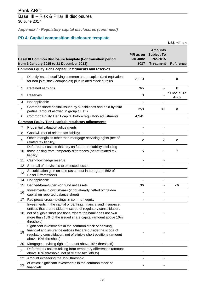*Appendix I - Regulatory capital disclosures (continued)*

# **PD 4: Capital composition disclosure template**

|                 |                                                                                                                                                                                                                                                                                 |                              |                                                                            | US\$ million             |
|-----------------|---------------------------------------------------------------------------------------------------------------------------------------------------------------------------------------------------------------------------------------------------------------------------------|------------------------------|----------------------------------------------------------------------------|--------------------------|
|                 | Basel III Common disclosure template (For transition period<br>from 1 January 2015 to 31 December 2018)                                                                                                                                                                         | PIR as on<br>30 June<br>2017 | <b>Amounts</b><br><b>Subject To</b><br><b>Pre-2015</b><br><b>Treatment</b> | <b>Reference</b>         |
|                 | <b>Common Equity Tier 1 capital: instruments and reserves</b>                                                                                                                                                                                                                   |                              |                                                                            |                          |
| 1               | Directly issued qualifying common share capital (and equivalent<br>for non-joint stock companies) plus related stock surplus                                                                                                                                                    | 3,110                        |                                                                            | a                        |
| 2               | Retained earnings                                                                                                                                                                                                                                                               | 765                          | $\overline{\phantom{a}}$                                                   | b                        |
| 3               | Reserves                                                                                                                                                                                                                                                                        | 8                            |                                                                            | $c1+c2+c3+c$<br>$4 + c5$ |
| 4               | Not applicable                                                                                                                                                                                                                                                                  |                              | ۰                                                                          |                          |
| 5               | Common share capital issued by subsidiaries and held by third<br>parties (amount allowed in group CET1)                                                                                                                                                                         | 258                          | 89                                                                         | d                        |
| 6               | Common Equity Tier 1 capital before regulatory adjustments                                                                                                                                                                                                                      | 4,141                        |                                                                            |                          |
|                 | <b>Common Equity Tier 1 capital: regulatory adjustments</b>                                                                                                                                                                                                                     |                              |                                                                            |                          |
| $\overline{7}$  | Prudential valuation adjustments                                                                                                                                                                                                                                                | $\blacksquare$               | $\overline{\phantom{0}}$                                                   |                          |
| 8               | Goodwill (net of related tax liability)                                                                                                                                                                                                                                         | $\blacksquare$               | $\overline{\phantom{0}}$                                                   |                          |
| 9               | Other intangibles other than mortgage-servicing rights (net of<br>related tax liability)                                                                                                                                                                                        | $\overline{c}$               | $\overline{2}$                                                             | е                        |
| 10              | Deferred tax assets that rely on future profitability excluding<br>those arising from temporary differences (net of related tax<br>liability)                                                                                                                                   | 5                            |                                                                            | f                        |
| 11              | Cash-flow hedge reserve                                                                                                                                                                                                                                                         | $\blacksquare$               | -                                                                          |                          |
| 12 <sup>2</sup> | Shortfall of provisions to expected losses                                                                                                                                                                                                                                      |                              |                                                                            |                          |
| 13              | Securitisation gain on sale (as set out in paragraph 562 of<br>Basel II framework)                                                                                                                                                                                              |                              |                                                                            |                          |
| 14              | Not applicable                                                                                                                                                                                                                                                                  |                              |                                                                            |                          |
| 15              | Defined-benefit pension fund net assets                                                                                                                                                                                                                                         | 36                           | -                                                                          | c6                       |
| 16              | Investments in own shares (if not already netted off paid-in<br>capital on reported balance sheet)                                                                                                                                                                              |                              |                                                                            |                          |
| 17              | Reciprocal cross-holdings in common equity                                                                                                                                                                                                                                      |                              |                                                                            |                          |
| 18              | Investments in the capital of banking, financial and insurance<br>entities that are outside the scope of regulatory consolidation,<br>net of eligible short positions, where the bank does not own<br>more than 10% of the issued share capital (amount above 10%<br>threshold) |                              |                                                                            |                          |
| 19              | Significant investments in the common stock of banking,<br>financial and insurance entities that are outside the scope of<br>regulatory consolidation, net of eligible short positions (amount<br>above 10% threshold)                                                          |                              |                                                                            |                          |
| 20              | Mortgage servicing rights (amount above 10% threshold)                                                                                                                                                                                                                          |                              |                                                                            |                          |
| 21              | Deferred tax assets arising from temporary differences (amount<br>above 10% threshold, net of related tax liability)                                                                                                                                                            |                              |                                                                            |                          |
| 22              | Amount exceeding the 15% threshold                                                                                                                                                                                                                                              |                              |                                                                            |                          |
| 23              | of which: significant investments in the common stock of<br>financials                                                                                                                                                                                                          |                              |                                                                            |                          |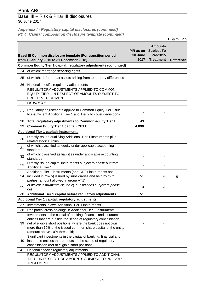# Basel III – Risk & Pillar III disclosures 30 June 2017

*Appendix I - Regulatory capital disclosures (continued) PD 4: Capital composition disclosure template (continued)*

|    |                                                                                                                                                                 |                              |                                                                            | US\$ million     |
|----|-----------------------------------------------------------------------------------------------------------------------------------------------------------------|------------------------------|----------------------------------------------------------------------------|------------------|
|    | Basel III Common disclosure template (For transition period<br>from 1 January 2015 to 31 December 2018)                                                         | PIR as on<br>30 June<br>2017 | <b>Amounts</b><br><b>Subject To</b><br><b>Pre-2015</b><br><b>Treatment</b> | <b>Reference</b> |
|    | <b>Common Equity Tier 1 capital: regulatory adjustments (continued)</b>                                                                                         |                              |                                                                            |                  |
| 24 | of which: mortgage servicing rights                                                                                                                             |                              |                                                                            |                  |
| 25 | of which: deferred tax assets arising from temporary differences                                                                                                |                              |                                                                            |                  |
| 26 | National specific regulatory adjustments                                                                                                                        |                              |                                                                            |                  |
|    | REGULATORY ADJUSTMENTS APPLIED TO COMMON<br>EQUITY TIER 1 IN RESPECT OF AMOUNTS SUBJECT TO<br>PRE-2015 TREATMENT                                                |                              |                                                                            |                  |
|    | OF WHICH:                                                                                                                                                       |                              |                                                                            |                  |
| 27 | Regulatory adjustments applied to Common Equity Tier 1 due<br>to insufficient Additional Tier 1 and Tier 2 to cover deductions                                  |                              |                                                                            |                  |
| 28 | Total regulatory adjustments to Common equity Tier 1                                                                                                            | 43                           |                                                                            |                  |
| 29 | <b>Common Equity Tier 1 capital (CET1)</b>                                                                                                                      | 4,098                        |                                                                            |                  |
|    | <b>Additional Tier 1 capital: instruments</b>                                                                                                                   |                              |                                                                            |                  |
| 30 | Directly issued qualifying Additional Tier 1 instruments plus<br>related stock surplus                                                                          |                              |                                                                            |                  |
| 31 | of which: classified as equity under applicable accounting<br>standards                                                                                         |                              |                                                                            |                  |
| 32 | of which: classified as liabilities under applicable accounting<br>standards                                                                                    |                              |                                                                            |                  |
| 33 | Directly issued capital instruments subject to phase out from<br><b>Additional Tier 1</b>                                                                       |                              |                                                                            |                  |
| 34 | Additional Tier 1 instruments (and CET1 instruments not<br>included in row 5) issued by subsidiaries and held by third<br>parties (amount allowed in group AT1) | 51                           | 9                                                                          | g                |
| 35 | of which: instruments issued by subsidiaries subject to phase<br>out                                                                                            | 9                            | 9                                                                          |                  |
| 36 | Additional Tier 1 capital before regulatory adjustments                                                                                                         | 51                           |                                                                            |                  |
|    | <b>Additional Tier 1 capital: regulatory adjustments</b>                                                                                                        |                              |                                                                            |                  |
| 37 | Investments in own Additional Tier 1 instruments                                                                                                                |                              |                                                                            |                  |
| 38 | Reciprocal cross-holdings in Additional Tier 1 instruments                                                                                                      |                              |                                                                            |                  |
| 39 | Investments in the capital of banking, financial and insurance<br>entities that are outside the scope of regulatory consolidation,                              |                              |                                                                            |                  |
|    | net of eligible short positions, where the bank does not own<br>more than 10% of the issued common share capital of the entity<br>(amount above 10% threshold)  |                              |                                                                            |                  |
|    | Significant investments in the capital of banking, financial and                                                                                                |                              |                                                                            |                  |
| 40 | insurance entities that are outside the scope of regulatory                                                                                                     |                              |                                                                            |                  |
|    | consolidation (net of eligible short positions)                                                                                                                 |                              |                                                                            |                  |
| 41 | National specific regulatory adjustments                                                                                                                        |                              |                                                                            |                  |
|    | REGULATORY ADJUSTMENTS APPLIED TO ADDITIONAL<br>TIER 1 IN RESPECT OF AMOUNTS SUBJECT TO PRE-2015<br><b>TREATMENT</b>                                            |                              |                                                                            |                  |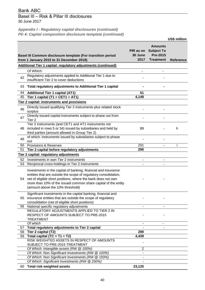# Basel III – Risk & Pillar III disclosures 30 June 2017

*Appendix I - Regulatory capital disclosures (continued) PD 4: Capital composition disclosure template (continued)*

|          |                                                                                                                                                                                                                                                                                                          |                              |                                                                            | <b>US\$ million</b> |
|----------|----------------------------------------------------------------------------------------------------------------------------------------------------------------------------------------------------------------------------------------------------------------------------------------------------------|------------------------------|----------------------------------------------------------------------------|---------------------|
|          | Basel III Common disclosure template (For transition period<br>from 1 January 2015 to 31 December 2018)                                                                                                                                                                                                  | PIR as on<br>30 June<br>2017 | <b>Amounts</b><br><b>Subject To</b><br><b>Pre-2015</b><br><b>Treatment</b> | <b>Reference</b>    |
|          | <b>Additional Tier 1 capital: regulatory adjustments (continued)</b>                                                                                                                                                                                                                                     |                              |                                                                            |                     |
|          | Of Which:                                                                                                                                                                                                                                                                                                |                              |                                                                            |                     |
| 42       | Regulatory adjustments applied to Additional Tier 1 due to<br>insufficient Tier 2 to cover deductions                                                                                                                                                                                                    |                              |                                                                            |                     |
| 43       | Total regulatory adjustments to Additional Tier 1 capital                                                                                                                                                                                                                                                |                              |                                                                            |                     |
| 44       | <b>Additional Tier 1 capital (AT1)</b>                                                                                                                                                                                                                                                                   | 51                           |                                                                            |                     |
| 45       | Tier 1 capital (T1 = CET1 + AT1)                                                                                                                                                                                                                                                                         | 4,149                        |                                                                            |                     |
|          | <b>Tier 2 capital: instruments and provisions</b>                                                                                                                                                                                                                                                        |                              |                                                                            |                     |
| 46       | Directly issued qualifying Tier 2 instruments plus related stock<br>surplus                                                                                                                                                                                                                              |                              |                                                                            |                     |
| 47       | Directly issued capital instruments subject to phase out from<br>Tier <sub>2</sub>                                                                                                                                                                                                                       |                              |                                                                            |                     |
| 48       | Tier 2 instruments (and CET1 and AT1 instruments not<br>included in rows 5 or 34) issued by subsidiaries and held by<br>third parties (amount allowed in Group Tier 2)                                                                                                                                   | 89                           |                                                                            | h                   |
| 49       | of which: instruments issued by subsidiaries subject to phase<br>out                                                                                                                                                                                                                                     |                              |                                                                            |                     |
| 50       | <b>Provisions &amp; Reserves</b>                                                                                                                                                                                                                                                                         | 201                          |                                                                            |                     |
| 51       | Tier 2 capital before regulatory adjustments                                                                                                                                                                                                                                                             | 290                          |                                                                            |                     |
|          | Tier 2 capital: regulatory adjustments                                                                                                                                                                                                                                                                   |                              |                                                                            |                     |
| 52       | Investments in own Tier 2 instruments                                                                                                                                                                                                                                                                    |                              |                                                                            |                     |
| 53       | Reciprocal cross-holdings in Tier 2 instruments                                                                                                                                                                                                                                                          |                              |                                                                            |                     |
| 54       | Investments in the capital of banking, financial and insurance<br>entities that are outside the scope of regulatory consolidation,<br>net of eligible short positions, where the bank does not own<br>more than 10% of the issued common share capital of the entity<br>(amount above the 10% threshold) |                              |                                                                            |                     |
| 55       | Significant investments in the capital banking, financial and<br>insurance entities that are outside the scope of regulatory<br>consolidation (net of eligible short positions)                                                                                                                          |                              |                                                                            |                     |
| 56       | National specific regulatory adjustments<br>REGULATORY ADJUSTMENTS APPLIED TO TIER 2 IN                                                                                                                                                                                                                  |                              | $\blacksquare$                                                             |                     |
|          | RESPECT OF AMOUNTS SUBJECT TO PRE-2015<br><b>TREATMENT</b>                                                                                                                                                                                                                                               |                              |                                                                            |                     |
|          | Of which                                                                                                                                                                                                                                                                                                 |                              |                                                                            |                     |
| 57<br>58 | Total regulatory adjustments to Tier 2 capital<br>Tier 2 capital (T2)                                                                                                                                                                                                                                    | 290                          |                                                                            |                     |
| 59       | Total capital (TC = $T1 + T2$ )                                                                                                                                                                                                                                                                          | 4,439                        |                                                                            |                     |
|          | RISK WEIGHTED ASSETS IN RESPECT OF AMOUNTS<br>SUBJECT TO PRE-2015 TREATMENT                                                                                                                                                                                                                              |                              |                                                                            |                     |
|          | Of Which: Intangible assets (RW @ 100%)                                                                                                                                                                                                                                                                  | $\overline{2}$               |                                                                            |                     |
|          | Of Which: Non Significant Investments (RW @ 100%)                                                                                                                                                                                                                                                        |                              |                                                                            |                     |
|          | Of Which: Non Significant Investments (RW @ 150%)<br>Of Which: Significant Investments (RW @ 250%)                                                                                                                                                                                                       |                              |                                                                            |                     |
| 60       | <b>Total risk weighted assets</b>                                                                                                                                                                                                                                                                        | 23,125                       |                                                                            |                     |